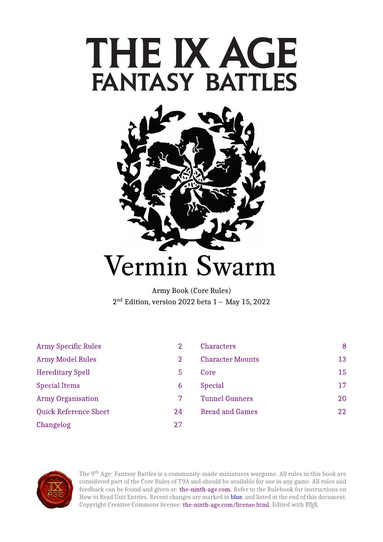# THE IX AGE **FANTASY BATTLES**



Army Book (Core Rules)  $2<sup>nd</sup>$  Edition, version 2022 beta  $1 - M$ 

| <b>Army Specific Rules</b>   | 2  | <b>Characters</b>       | 8  |
|------------------------------|----|-------------------------|----|
| <b>Army Model Rules</b>      | 2  | <b>Character Mounts</b> | 13 |
| <b>Hereditary Spell</b>      | 5  | Core                    | 15 |
| <b>Special Items</b>         | 6  | <b>Special</b>          | 17 |
| <b>Army Organisation</b>     |    | <b>Tunnel Gunners</b>   | 20 |
| <b>Quick Reference Sheet</b> | 24 | <b>Bread and Games</b>  | 22 |
| Changelog                    | 27 |                         |    |



The 9<sup>th</sup> Age: Fantasy Battles is a community-made miniatures wargame. All rules in this book are considered part of the Core Rules of T9A and should be available for use in any game. All rules and feedback can be found and given at: [the-ninth-age.com.](https://www.the-ninth-age.com/) Refer to the Rulebook for instructions on How to Read Unit Entries. Recent changes are marked in blue, and listed at the end of this document. Copyright Creative Commons license: [the-ninth-age.com/license.html.](https://www.the-ninth-age.com/license.html) Edited with ETEX.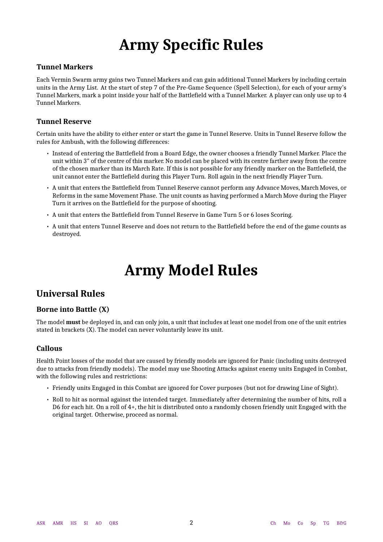# **Army Specific Rules**

### <span id="page-1-0"></span>**Tunnel Markers**

Each Vermin Swarm army gains two Tunnel Markers and can gain additional Tunnel Markers by including certain units in the Army List. At the start of step 7 of the Pre-Game Sequence (Spell Selection), for each of your army's Tunnel Markers, mark a point inside your half of the Battlefield with a Tunnel Marker. A player can only use up to 4 Tunnel Markers.

### **Tunnel Reserve**

Certain units have the ability to either enter or start the game in Tunnel Reserve. Units in Tunnel Reserve follow the rules for Ambush, with the following differences:

- Instead of entering the Battlefield from a Board Edge, the owner chooses a friendly Tunnel Marker. Place the unit within 3″ of the centre of this marker. No model can be placed with its centre farther away from the centre of the chosen marker than its March Rate. If this is not possible for any friendly marker on the Battlefield, the unit cannot enter the Battlefield during this Player Turn. Roll again in the next friendly Player Turn.
- A unit that enters the Battlefield from Tunnel Reserve cannot perform any Advance Moves, March Moves, or Reforms in the same Movement Phase. The unit counts as having performed a March Move during the Player Turn it arrives on the Battlefield for the purpose of shooting.
- A unit that enters the Battlefield from Tunnel Reserve in Game Turn 5 or 6 loses Scoring.
- <span id="page-1-2"></span><span id="page-1-1"></span>• A unit that enters Tunnel Reserve and does not return to the Battlefield before the end of the game counts as destroyed.

# **Army Model Rules**

### **Universal Rules**

### **Borne into Battle (X)**

The model **must** be deployed in, and can only join, a unit that includes at least one model from one of the unit entries stated in brackets (X). The model can never voluntarily leave its unit.

### **Callous**

Health Point losses of the model that are caused by friendly models are ignored for Panic (including units destroyed due to attacks from friendly models). The model may use Shooting Attacks against enemy units Engaged in Combat, with the following rules and restrictions:

- Friendly units Engaged in this Combat are ignored for Cover purposes (but not for drawing Line of Sight).
- Roll to hit as normal against the intended target. Immediately after determining the number of hits, roll a D6 for each hit. On a roll of 4+, the hit is distributed onto a randomly chosen friendly unit Engaged with the original target. Otherwise, proceed as normal.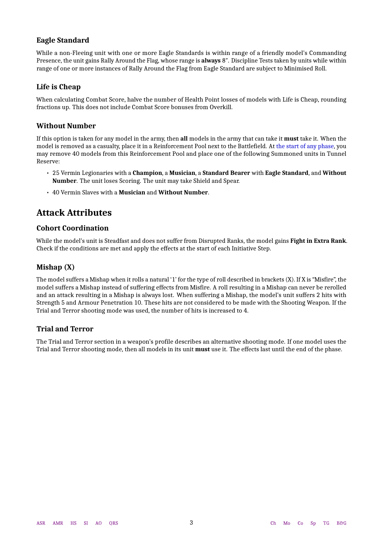### **Eagle Standard**

While a non-Fleeing unit with one or more Eagle Standards is within range of a friendly model's Commanding Presence, the unit gains Rally Around the Flag, whose range is **always** 8″. Discipline Tests taken by units while within range of one or more instances of Rally Around the Flag from Eagle Standard are subject to Minimised Roll.

### **Life is Cheap**

When calculating Combat Score, halve the number of Health Point losses of models with Life is Cheap, rounding fractions up. This does not include Combat Score bonuses from Overkill.

### **Without Number**

If this option is taken for any model in the army, then **all** models in the army that can take it **must** take it. When the model is removed as a casualty, place it in a Reinforcement Pool next to the Battlefield. At the start of any phase, you may remove 40 models from this Reinforcement Pool and place one of the following Summoned units in Tunnel Reserve:

- 25 Vermin Legionaries with a **Champion**, a **Musician**, a **Standard Bearer** with **Eagle Standard**, and **Without Number**. The unit loses Scoring. The unit may take Shield and Spear.
- 40 Vermin Slaves with a **Musician** and **Without Number**.

### **Attack Attributes**

### **Cohort Coordination**

While the model's unit is Steadfast and does not suffer from Disrupted Ranks, the model gains **Fight in Extra Rank**. Check if the conditions are met and apply the effects at the start of each Initiative Step.

### **Mishap (X)**

The model suffers a Mishap when it rolls a natural '1' for the type of roll described in brackets (X). If X is "Misfire", the model suffers a Mishap instead of suffering effects from Misfire. A roll resulting in a Mishap can never be rerolled and an attack resulting in a Mishap is always lost. When suffering a Mishap, the model's unit suffers 2 hits with Strength 5 and Armour Penetration 10. These hits are not considered to be made with the Shooting Weapon. If the Trial and Terror shooting mode was used, the number of hits is increased to 4.

### **Trial and Terror**

The Trial and Terror section in a weapon's profile describes an alternative shooting mode. If one model uses the Trial and Terror shooting mode, then all models in its unit **must** use it. The effects last until the end of the phase.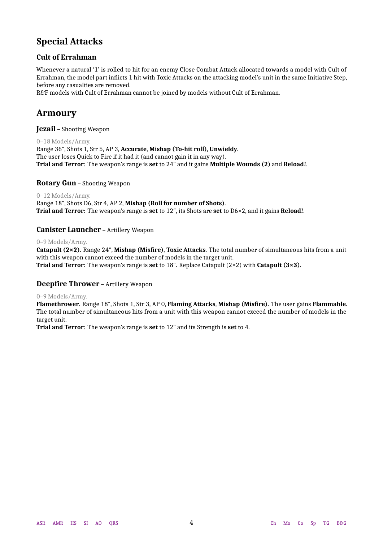### **Special Attacks**

### **Cult of Errahman**

Whenever a natural '1' is rolled to hit for an enemy Close Combat Attack allocated towards a model with Cult of Errahman, the model part inflicts 1 hit with Toxic Attacks on the attacking model's unit in the same Initiative Step, before any casualties are removed.

R&F models with Cult of Errahman cannot be joined by models without Cult of Errahman.

### **Armoury**

### **Jezail** – Shooting Weapon

0–18 Models/Army. Range 36″, Shots 1, Str 5, AP 3, **Accurate**, **Mishap (To-hit roll)**, **Unwieldy**. The user loses Quick to Fire if it had it (and cannot gain it in any way). **Trial and Terror**: The weapon's range is **set** to 24″ and it gains **Multiple Wounds (2)** and **Reload!**.

### **Rotary Gun** – Shooting Weapon

### 0–12 Models/Army.

Range 18″, Shots D6, Str 4, AP 2, **Mishap (Roll for number of Shots)**. **Trial and Terror**: The weapon's range is **set** to 12″, its Shots are **set** to D6×2, and it gains **Reload!**.

### **Canister Launcher** – Artillery Weapon

### 0–9 Models/Army.

**Catapult (2×2)**. Range 24″, **Mishap (Misfire)**, **Toxic Attacks**. The total number of simultaneous hits from a unit with this weapon cannot exceed the number of models in the target unit. **Trial and Terror**: The weapon's range is **set** to 18″. Replace Catapult (2×2) with **Catapult (3×3)**.

### **Deepfire Thrower** – Artillery Weapon

### 0–9 Models/Army.

**Flamethrower**. Range 18″, Shots 1, Str 3, AP 0, **Flaming Attacks**, **Mishap (Misfire)**. The user gains **Flammable**. The total number of simultaneous hits from a unit with this weapon cannot exceed the number of models in the target unit.

**Trial and Terror**: The weapon's range is **set** to 12″ and its Strength is **set** to 4.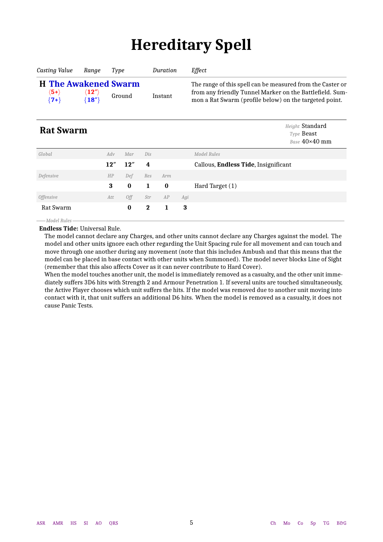# **Hereditary Spell**

<span id="page-4-0"></span>

| Casting Value                                                   | Ranae                                              | Type   | Duration | Effect                                                                                                                                                                           |
|-----------------------------------------------------------------|----------------------------------------------------|--------|----------|----------------------------------------------------------------------------------------------------------------------------------------------------------------------------------|
| <b>H</b> The Awakened Swarm<br>$\langle$ 5+ $\rangle$<br>$(7+)$ | $\langle{\bf 12}^{\prime\prime}\rangle$<br>${18"}$ | Ground | Instant  | The range of this spell can be measured from the Caster or<br>from any friendly Tunnel Marker on the Battlefield. Sum-<br>mon a Rat Swarm (profile below) on the targeted point. |

<span id="page-4-1"></span>**Rat Swarm** *Height* Standard *Height* Standard *Type* Beast *Base* 40×40 mm

| Global                  | Adv | Mar      | Dis          |          |     | Model Rules                          |
|-------------------------|-----|----------|--------------|----------|-----|--------------------------------------|
|                         | 12" | 12"      | 4            |          |     | Callous, Endless Tide, Insignificant |
| Defensive               | HP  | Def      | Res          | Arm      |     |                                      |
|                         | 3   | $\bf{0}$ | $\mathbf{1}$ | $\bf{0}$ |     | Hard Target (1)                      |
| <i><b>Offensive</b></i> | Att | 0ff      | Str          | AP       | Agi |                                      |
|                         |     |          |              |          |     |                                      |
| Rat Swarm               |     | $\bf{0}$ | $\mathbf 2$  | L        | 3   |                                      |

*Model Rules*

**Endless Tide:** Universal Rule.

The model cannot declare any Charges, and other units cannot declare any Charges against the model. The model and other units ignore each other regarding the Unit Spacing rule for all movement and can touch and move through one another during any movement (note that this includes Ambush and that this means that the model can be placed in base contact with other units when Summoned). The model never blocks Line of Sight (remember that this also affects Cover as it can never contribute to Hard Cover).

When the model touches another unit, the model is immediately removed as a casualty, and the other unit immediately suffers 3D6 hits with Strength 2 and Armour Penetration 1. If several units are touched simultaneously, the Active Player chooses which unit suffers the hits. If the model was removed due to another unit moving into contact with it, that unit suffers an additional D6 hits. When the model is removed as a casualty, it does not cause Panic Tests.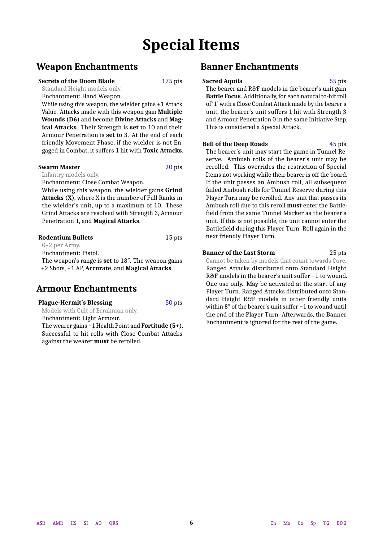# **Special Items**

### <span id="page-5-0"></span>**Weapon Enchantments**

### **Secrets of the Doom Blade** 175 pts

Standard Height models only.

Enchantment: Hand Weapon.

While using this weapon, the wielder gains +1 Attack Value. Attacks made with this weapon gain **Multiple Wounds (D6)** and become **Divine Attacks** and **Magical Attacks**. Their Strength is **set** to 10 and their Armour Penetration is **set** to 3. At the end of each friendly Movement Phase, if the wielder is not Engaged in Combat, it suffers 1 hit with **Toxic Attacks**.

### **Swarm Master** 20 pts

Infantry models only.

Enchantment: Close Combat Weapon.

While using this weapon, the wielder gains **Grind Attacks (X)**, where X is the number of Full Ranks in the wielder's unit, up to a maximum of 10. These Grind Attacks are resolved with Strength 3, Armour Penetration 1, and **Magical Attacks**.

**Rodentium Bullets** 15 pts 0–2 per Army. Enchantment: Pistol. The weapon's range is **set** to 18″. The weapon gains +2 Shots, +1 AP, **Accurate**, and **Magical Attacks**.

### **Armour Enchantments**

**Plague-Hermit's Blessing 50 pts** Models with Cult of Errahman only. Enchantment: Light Armour. The wearer gains +1 Health Point and **Fortitude (5+)**. Successful to-hit rolls with Close Combat Attacks against the wearer **must** be rerolled.

### **Banner Enchantments**

### **Sacred Aquila** 55 pts

The bearer and R&F models in the bearer's unit gain **Battle Focus**. Additionally, for each natural to-hit roll of '1' with a Close Combat Attack made by the bearer's unit, the bearer's unit suffers 1 hit with Strength 3 and Armour Penetration 0 in the same Initiative Step. This is considered a Special Attack.

### **Bell of the Deep Roads** 45 pts

The bearer's unit may start the game in Tunnel Reserve. Ambush rolls of the bearer's unit may be rerolled. This overrides the restriction of Special Items not working while their bearer is off the board. If the unit passes an Ambush roll, all subsequent failed Ambush rolls for Tunnel Reserve during this Player Turn may be rerolled. Any unit that passes its Ambush roll due to this reroll **must** enter the Battlefield from the same Tunnel Marker as the bearer's unit. If this is not possible, the unit cannot enter the Battlefield during this Player Turn. Roll again in the next friendly Player Turn.

#### **Banner of the Last Storm 25 pts** Cannot be taken by models that count towards Core.

Ranged Attacks distributed onto Standard Height R&F models in the bearer's unit suffer −1 to wound. One use only. May be activated at the start of any Player Turn. Ranged Attacks distributed onto Standard Height R&F models in other friendly units within 8″ of the bearer's unit suffer −1 to wound until the end of the Player Turn. Afterwards, the Banner Enchantment is ignored for the rest of the game.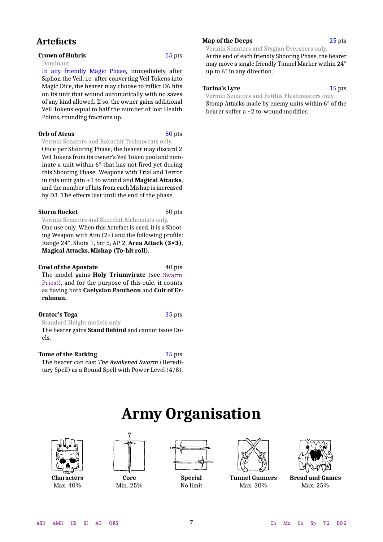### **Artefacts**

### **Crown of Hubris** 55 pts Dominant. In any friendly Magic Phase, immediately after Siphon the Veil, i.e. after converting Veil Tokens into Magic Dice, the bearer may choose to inflict D6 hits on its unit that wound automatically with no saves of any kind allowed. If so, the owner gains additional Veil Tokens equal to half the number of lost Health

### **Orb of Ateus** 50 pts

Points, rounding fractions up.

Vermin Senators and Rakachit Technocrats only. Once per Shooting Phase, the bearer may discard 2 Veil Tokens from its owner's Veil Token pool and nominate a unit within 6″ that has not fired yet during this Shooting Phase. Weapons with Trial and Terror in this unit gain +1 to wound and **Magical Attacks**, and the number of hits from each Mishap is increased by D3. The effects last until the end of the phase.

#### **Storm Rocket** 50 pts

Vermin Senators and Skorchit Alchemists only. One use only. When this Artefact is used, it is a Shooting Weapon with Aim (2+) and the following profile: Range 24″, Shots 1, Str 5, AP 2, **Area Attack (3×3)**, **Magical Attacks**, **Mishap (To-hit roll)**.

#### **Cowl of the Apostate** 40 pts

The model gains **Holy Triumvirate** (see [Swarm](#page-10-0) [Priest\)](#page-10-0), and for the purpose of this rule, it counts as having both **Caelysian Pantheon** and **Cult of Errahman**.

### **Orator's Toga** 35 pts Standard Height models only.

The bearer gains **Stand Behind** and cannot issue Duels.

<span id="page-6-1"></span><span id="page-6-0"></span>**Tome of the Ratking** 35 pts The bearer can cast *The Awakened Swarm* (Hereditary Spell) as a Bound Spell with Power Level (4/8).

#### **Map of the Deeps** 25 pts

Vermin Senators and Stygian Overseers only. At the end of each friendly Shooting Phase, the bearer may move a single friendly Tunnel Marker within 24″ up to 6″ in any direction.

### **Tarina's Lyre** 15 pts

Vermin Senators and Fetthis Fleshmasters only. Stomp Attacks made by enemy units within 6″ of the bearer suffer a −2 to-wound modifier.

# **Army Organisation**



**Characters** Max. 40%



**Core** Min. 25%



**Special** No limit



**Tunnel Gunners** Max. 30%



**Bread and Games** Max. 25%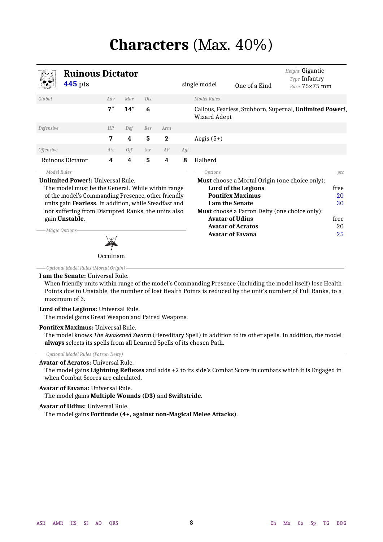# **Characters** (Max. 40%)

<span id="page-7-1"></span><span id="page-7-0"></span>

| <b>Ruinous Dictator</b><br><b>445</b> pts                                                                                                                                                                                                                                                                              |     |     |     |             |     | single model        | One of a Kind                                                                                                                                                                                                                                                       | Height Gigantic<br>Type Infantry<br>Base 75×75 mm        |
|------------------------------------------------------------------------------------------------------------------------------------------------------------------------------------------------------------------------------------------------------------------------------------------------------------------------|-----|-----|-----|-------------|-----|---------------------|---------------------------------------------------------------------------------------------------------------------------------------------------------------------------------------------------------------------------------------------------------------------|----------------------------------------------------------|
| Global                                                                                                                                                                                                                                                                                                                 | Adv | Mar | Dis |             |     | Model Rules         |                                                                                                                                                                                                                                                                     |                                                          |
|                                                                                                                                                                                                                                                                                                                        | 7'' | 14" | 6   |             |     | <b>Wizard Adept</b> |                                                                                                                                                                                                                                                                     | Callous, Fearless, Stubborn, Supernal, Unlimited Power!, |
| Defensive                                                                                                                                                                                                                                                                                                              | HP  | Def | Res | Arm         |     |                     |                                                                                                                                                                                                                                                                     |                                                          |
|                                                                                                                                                                                                                                                                                                                        | 7   | 4   | 5   | $\mathbf 2$ |     | Aegis $(5+)$        |                                                                                                                                                                                                                                                                     |                                                          |
| <i><b>Offensive</b></i>                                                                                                                                                                                                                                                                                                | Att | 0ff | Str | AP          | Agi |                     |                                                                                                                                                                                                                                                                     |                                                          |
| Ruinous Dictator                                                                                                                                                                                                                                                                                                       | 4   | 4   | 5   | 4           | 8   | Halberd             |                                                                                                                                                                                                                                                                     |                                                          |
| — Model Rules<br><b>Unlimited Power!: Universal Rule.</b><br>The model must be the General. While within range<br>of the model's Commanding Presence, other friendly<br>units gain Fearless. In addition, while Steadfast and<br>not suffering from Disrupted Ranks, the units also<br>gain Unstable.<br>Magic Options |     |     |     |             |     | Options-            | <b>Must</b> choose a Mortal Origin (one choice only):<br>Lord of the Legions<br><b>Pontifex Maximus</b><br>I am the Senate<br><b>Must</b> choose a Patron Deity (one choice only):<br><b>Avatar of Udius</b><br><b>Avatar of Acratos</b><br><b>Avatar of Favana</b> | $pts-$<br>free<br>20<br>30<br>free<br>20<br>25           |

*Optional Model Rules (Mortal Origin)*

#### **I am the Senate:** Universal Rule.

When friendly units within range of the model's Commanding Presence (including the model itself) lose Health Points due to Unstable, the number of lost Health Points is reduced by the unit's number of Full Ranks, to a maximum of 3.

### **Lord of the Legions:** Universal Rule.

The model gains Great Weapon and Paired Weapons.

**Occultism** 

#### **Pontifex Maximus:** Universal Rule.

The model knows *The Awakened Swarm* (Hereditary Spell) in addition to its other spells. In addition, the model **always** selects its spells from all Learned Spells of its chosen Path.

### *Optional Model Rules (Patron Deity)*

#### **Avatar of Acratos:** Universal Rule.

The model gains **Lightning Reflexes** and adds +2 to its side's Combat Score in combats which it is Engaged in when Combat Scores are calculated.

#### **Avatar of Favana:** Universal Rule.

The model gains **Multiple Wounds (D3)** and **Swiftstride**.

#### **Avatar of Udius:** Universal Rule.

The model gains **Fortitude (4+, against non-Magical Melee Attacks)**.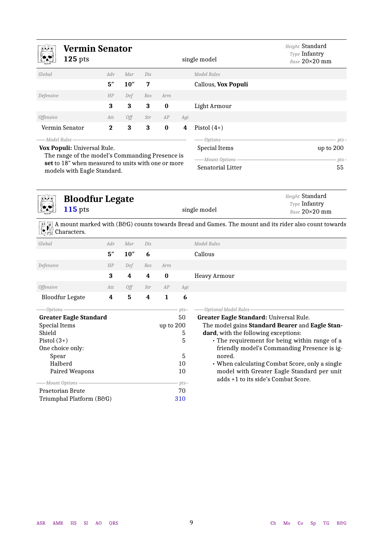<span id="page-8-0"></span>

| Vermin Senator<br>$125$ pts                                                                      |          |      |     |          |     | single model         | Height Standard<br>Type Infantry<br>Base 20×20 mm |
|--------------------------------------------------------------------------------------------------|----------|------|-----|----------|-----|----------------------|---------------------------------------------------|
| Global                                                                                           | Adv      | Mar  | Dis |          |     | Model Rules          |                                                   |
|                                                                                                  | 5''      | 10'' | 7   |          |     | Callous, Vox Populi  |                                                   |
| Defensive                                                                                        | HP       | Def  | Res | Arm      |     |                      |                                                   |
|                                                                                                  | 3        | 3    | 3   | $\bf{0}$ |     | Light Armour         |                                                   |
| <i><b>Offensive</b></i>                                                                          | Att      | Off  | Str | AP       | Agi |                      |                                                   |
| Vermin Senator                                                                                   | $\bf{2}$ | 3    | 3   | $\bf{0}$ | 4   | Pistol $(4+)$        |                                                   |
| — Model Rules-                                                                                   |          |      |     |          |     | $-$ Options -        | $pts-$                                            |
| Vox Populi: Universal Rule.                                                                      |          |      |     |          |     | <b>Special Items</b> | up to 200                                         |
| The range of the model's Commanding Presence is                                                  |          |      |     |          |     | ——Mount Options -    | $pts-$                                            |
| set to 18" when measured to units with one or more<br>ar a d'ala a stal. Tha al a Oas a d'a a d' |          |      |     |          |     | Senatorial Litter    | 55                                                |

models with Eagle Standard.

<span id="page-8-1"></span>

### **Bloodfur Legate 115** pts single model

*Height* Standard *Type* Infantry *Base* 20×20 mm

A mount marked with (B&G) counts towards Bread and Games. The mount and its rider also count towards Characters.

| Global                        | Adv | Mar  | Dis |           |        | Model Rules                                     |
|-------------------------------|-----|------|-----|-----------|--------|-------------------------------------------------|
|                               | 5'' | 10'' | 6   |           |        | Callous                                         |
| Defensive                     | HP  | Def  | Res | Arm       |        |                                                 |
|                               | 3   | 4    | 4   | $\bf{0}$  |        | <b>Heavy Armour</b>                             |
| <i><b>Offensive</b></i>       | Att | Off  | Str | AP        | Agi    |                                                 |
| <b>Bloodfur Legate</b>        | 4   | 5    | 4   | 1         | 6      |                                                 |
| Options                       |     |      |     |           | $pts-$ | Optional Model Rules                            |
| <b>Greater Eagle Standard</b> |     |      |     |           | 50     | Greater Eagle Standard: Universal Rule.         |
| Special Items                 |     |      |     | up to 200 |        | The model gains Standard Bearer and Eagle Stan- |
| Shield                        |     |      |     |           | 5      | dard, with the following exceptions:            |
| Pistol $(3+)$                 |     |      |     |           | 5      | • The requirement for being within range of a   |
| One choice only:              |     |      |     |           |        | friendly model's Commanding Presence is ig-     |
| Spear                         |     |      |     |           | 5      | nored.                                          |
| Halberd                       |     |      |     |           | 10     | • When calculating Combat Score, only a single  |
| Paired Weapons                |     |      |     |           | 10     | model with Greater Eagle Standard per unit      |
| Mount Options                 |     |      |     |           | $pts-$ | adds +1 to its side's Combat Score.             |
| Praetorian Brute              |     |      |     |           | 70     |                                                 |
| Triumphal Platform (B&G)      |     |      |     |           | 310    |                                                 |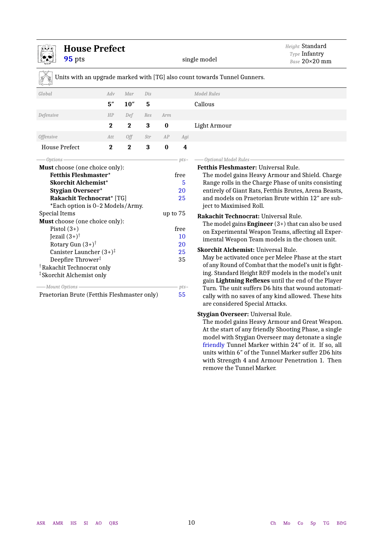<span id="page-9-0"></span>

| <b>House Prefect</b>                                                                               |             |          |     |          |              | Height Standard                                                                                                                                       |  |  |
|----------------------------------------------------------------------------------------------------|-------------|----------|-----|----------|--------------|-------------------------------------------------------------------------------------------------------------------------------------------------------|--|--|
| 95 pts                                                                                             |             |          |     |          |              | Type Infantry<br>single model<br>Base 20×20 mm                                                                                                        |  |  |
|                                                                                                    |             |          |     |          |              | Units with an upgrade marked with [TG] also count towards Tunnel Gunners.                                                                             |  |  |
| Global                                                                                             | Adv         | Mar      | Dis |          |              | <b>Model Rules</b>                                                                                                                                    |  |  |
|                                                                                                    | 5''         | 10''     | 5   |          |              | Callous                                                                                                                                               |  |  |
| Defensive                                                                                          | HP          | Def      | Res | Arm      |              |                                                                                                                                                       |  |  |
|                                                                                                    | $\mathbf 2$ | $\bf{2}$ | 3   | $\bf{0}$ |              | Light Armour                                                                                                                                          |  |  |
| <b>Offensive</b>                                                                                   | Att         | Off      | Str | AP       | Agi          |                                                                                                                                                       |  |  |
| <b>House Prefect</b>                                                                               | $\bf{2}$    | $\bf{2}$ | 3   | $\bf{0}$ | 4            |                                                                                                                                                       |  |  |
| -Options                                                                                           |             |          |     |          | $pts-$       | -Optional Model Rules                                                                                                                                 |  |  |
| <b>Must</b> choose (one choice only):<br><b>Fetthis Fleshmaster*</b><br><b>Skorchit Alchemist*</b> |             |          |     |          | free<br>5    | <b>Fetthis Fleshmaster: Universal Rule.</b><br>The model gains Heavy Armour and Shield. Charge<br>Range rolls in the Charge Phase of units consisting |  |  |
| <b>Stygian Overseer*</b>                                                                           |             |          |     |          | 20           | entirely of Giant Rats, Fetthis Brutes, Arena Beasts,<br>and models on Praetorian Brute within 12" are sub-                                           |  |  |
| <b>Rakachit Technocrat*</b> [TG]                                                                   |             |          |     |          | 25           |                                                                                                                                                       |  |  |
| *Each option is 0-2 Models/Army.                                                                   |             |          |     |          |              | ject to Maximised Roll.                                                                                                                               |  |  |
| <b>Special Items</b><br>Must choose (one choice only):                                             |             |          |     | up to 75 |              | Rakachit Technocrat: Universal Rule.                                                                                                                  |  |  |
| Pistol $(3+)$                                                                                      |             |          |     |          | free         | The model gains <b>Engineer</b> $(3+)$ that can also be used                                                                                          |  |  |
| Jezail $(3+)^\dagger$                                                                              |             |          |     |          | 10           | on Experimental Weapon Teams, affecting all Exper-                                                                                                    |  |  |
| Rotary Gun $(3+)^\dagger$                                                                          |             |          |     |          | 20           | imental Weapon Team models in the chosen unit.                                                                                                        |  |  |
| Canister Launcher $(3+)^\dagger$                                                                   |             |          |     |          | 25           | <b>Skorchit Alchemist: Universal Rule.</b>                                                                                                            |  |  |
| Deepfire Thrower <sup>#</sup>                                                                      |             |          |     |          | 35           | May be activated once per Melee Phase at the start                                                                                                    |  |  |
| <sup>†</sup> Rakachit Technocrat only                                                              |             |          |     |          |              | of any Round of Combat that the model's unit is fight-                                                                                                |  |  |
| <sup>‡</sup> Skorchit Alchemist only                                                               |             |          |     |          |              | ing. Standard Height R&F models in the model's unit                                                                                                   |  |  |
| -Mount Options -                                                                                   |             |          |     |          |              | gain Lightning Reflexes until the end of the Player                                                                                                   |  |  |
| Praetorian Brute (Fetthis Fleshmaster only)                                                        |             |          |     |          | $pts-$<br>55 | Turn. The unit suffers D6 hits that wound automati-                                                                                                   |  |  |
|                                                                                                    |             |          |     |          |              | cally with no saves of any kind allowed. These hits<br>are considered Special Attacks.                                                                |  |  |

### **Stygian Overseer:** Universal Rule.

The model gains Heavy Armour and Great Weapon. At the start of any friendly Shooting Phase, a single model with Stygian Overseer may detonate a single friendly Tunnel Marker within 24″ of it. If so, all units within 6″ of the Tunnel Marker suffer 2D6 hits with Strength 4 and Armour Penetration 1. Then remove the Tunnel Marker.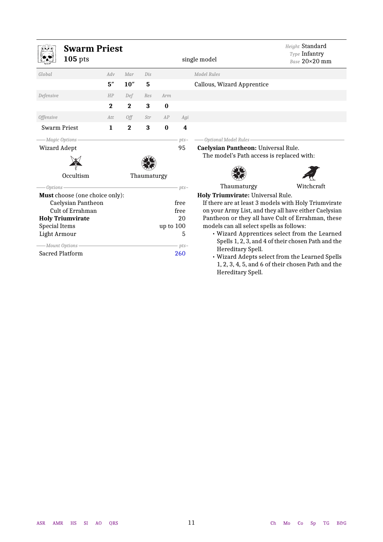<span id="page-10-0"></span>

|                                  | <b>Swarm Priest</b><br>$105$ pts |              |              |             |           |               | single model                                                                                                                                                                                                                                        | Height Standard<br>Type Infantry<br>Base 20×20 mm |  |
|----------------------------------|----------------------------------|--------------|--------------|-------------|-----------|---------------|-----------------------------------------------------------------------------------------------------------------------------------------------------------------------------------------------------------------------------------------------------|---------------------------------------------------|--|
| Global                           |                                  | Adv          | Mar          | Dis         |           |               | Model Rules                                                                                                                                                                                                                                         |                                                   |  |
|                                  |                                  | 5''          | 10''         | 5           |           |               | Callous, Wizard Apprentice                                                                                                                                                                                                                          |                                                   |  |
| Defensive                        |                                  | HP           | Def          | Res         | Arm       |               |                                                                                                                                                                                                                                                     |                                                   |  |
|                                  |                                  | $\bf{2}$     | $\mathbf{2}$ | 3           | $\bf{0}$  |               |                                                                                                                                                                                                                                                     |                                                   |  |
| <b>Offensive</b>                 |                                  | Att          | Off          | Str         | AP        | Agi           |                                                                                                                                                                                                                                                     |                                                   |  |
| Swarm Priest                     |                                  | $\mathbf{1}$ | $\bf{2}$     | 3           | $\bf{0}$  | 4             |                                                                                                                                                                                                                                                     |                                                   |  |
| -Magic Options<br>Wizard Adept   | Occultism                        |              |              | Thaumaturgy |           | $pts-$<br>95  | Optional Model Rules<br>Caelysian Pantheon: Universal Rule.<br>The model's Path access is replaced with:                                                                                                                                            |                                                   |  |
| Options -                        |                                  |              |              |             |           | $pts-$        | Thaumaturgy                                                                                                                                                                                                                                         | Witchcraft                                        |  |
|                                  | Must choose (one choice only):   |              |              |             |           |               | Holy Triumvirate: Universal Rule.                                                                                                                                                                                                                   |                                                   |  |
|                                  | Caelysian Pantheon               |              |              |             |           | free          | If there are at least 3 models with Holy Triumvirate                                                                                                                                                                                                |                                                   |  |
|                                  | Cult of Errahman                 |              |              |             |           | free          | on your Army List, and they all have either Caelysian                                                                                                                                                                                               |                                                   |  |
|                                  | <b>Holy Triumvirate</b>          |              |              |             |           | 20            | Pantheon or they all have Cult of Errahman, these                                                                                                                                                                                                   |                                                   |  |
| <b>Special Items</b>             |                                  |              |              |             | up to 100 | 5             | models can all select spells as follows:                                                                                                                                                                                                            |                                                   |  |
| Light Armour<br>-Mount Options - | <b>Sacred Platform</b>           |              |              |             |           | $pts-$<br>260 | • Wizard Apprentices select from the Learned<br>Spells 1, 2, 3, and 4 of their chosen Path and the<br>Hereditary Spell.<br>• Wizard Adepts select from the Learned Spells<br>1, 2, 3, 4, 5, and 6 of their chosen Path and the<br>Hereditary Spell. |                                                   |  |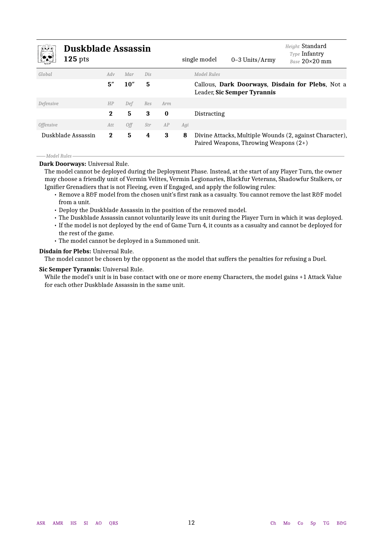<span id="page-11-1"></span>

| <u>in</u> i                    | <b>Duskblade Assassin</b><br>$125$ pts |              |      |     |          |     | single model | $0-3$ Units/Army                      | Height Standard<br><b>Type Infantry</b><br>Base 20×20 mm |
|--------------------------------|----------------------------------------|--------------|------|-----|----------|-----|--------------|---------------------------------------|----------------------------------------------------------|
| Global                         |                                        | Adv          | Mar  | Dis |          |     | Model Rules  |                                       |                                                          |
|                                |                                        | 5''          | 10'' | 5   |          |     |              | Leader, Sic Semper Tyrannis           | Callous, Dark Doorways, Disdain for Plebs, Not a         |
| Defensive                      |                                        | HP           | Def  | Res | Arm      |     |              |                                       |                                                          |
|                                |                                        | $\mathbf{2}$ | 5    | 3   | $\bf{0}$ |     | Distracting  |                                       |                                                          |
| <i><u><b>Offensive</b></u></i> |                                        | Att          | 0ff  | Str | AP       | Agi |              |                                       |                                                          |
|                                | Duskblade Assassin                     | $\bf{2}$     | 5    | 4   | 3        | 8   |              | Paired Weapons, Throwing Weapons (2+) | Divine Attacks, Multiple Wounds (2, against Character),  |

#### *Model Rules*

**Dark Doorways:** Universal Rule.

The model cannot be deployed during the Deployment Phase. Instead, at the start of any Player Turn, the owner may choose a friendly unit of Vermin Velites, Vermin Legionaries, Blackfur Veterans, Shadowfur Stalkers, or Ignifier Grenadiers that is not Fleeing, even if Engaged, and apply the following rules:

- Remove a R&F model from the chosen unit's first rank as a casualty. You cannot remove the last R&F model from a unit.
- Deploy the Duskblade Assassin in the position of the removed model.
- The Duskblade Assassin cannot voluntarily leave its unit during the Player Turn in which it was deployed.
- If the model is not deployed by the end of Game Turn 4, it counts as a casualty and cannot be deployed for the rest of the game.
- <span id="page-11-0"></span>• The model cannot be deployed in a Summoned unit.

### **Disdain for Plebs:** Universal Rule.

The model cannot be chosen by the opponent as the model that suffers the penalties for refusing a Duel.

#### **Sic Semper Tyrannis:** Universal Rule.

While the model's unit is in base contact with one or more enemy Characters, the model gains +1 Attack Value for each other Duskblade Assassin in the same unit.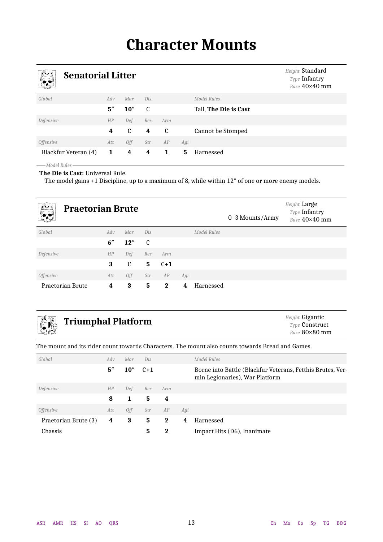# **Character Mounts**

<span id="page-12-1"></span><span id="page-12-0"></span>

| واللله<br>$\sqrt{2}$    | <b>Senatorial Litter</b> |                |     |               |     |                       |  |  |  |  |  |  |  |
|-------------------------|--------------------------|----------------|-----|---------------|-----|-----------------------|--|--|--|--|--|--|--|
| Global                  | Adv                      | Mar            | Dis |               |     | Model Rules           |  |  |  |  |  |  |  |
|                         | 5''                      | 10''           | C   |               |     | Tall, The Die is Cast |  |  |  |  |  |  |  |
| Defensive               | HP                       | Def            | Res | Arm           |     |                       |  |  |  |  |  |  |  |
|                         | 4                        | $\mathfrak{c}$ | 4   | $\mathfrak c$ |     | Cannot be Stomped     |  |  |  |  |  |  |  |
| <i><b>Offensive</b></i> | Att                      | Off            | Str | AP            | Agi |                       |  |  |  |  |  |  |  |
| Blackfur Veteran (4)    | 1                        | 4              | 4   | 1             | 5   | Harnessed             |  |  |  |  |  |  |  |
| -Model Rules            |                          |                |     |               |     |                       |  |  |  |  |  |  |  |

### **The Die is Cast:** Universal Rule.

The model gains +1 Discipline, up to a maximum of 8, while within 12″ of one or more enemy models.

<span id="page-12-2"></span>

| <b>NUT</b><br><b>Praetorian Brute</b><br><u>(* 19</u> |     |             |              |             |     |             | 0-3 Mounts/Army | Height Large<br>Type Infantry<br>Base 40×40 mm |
|-------------------------------------------------------|-----|-------------|--------------|-------------|-----|-------------|-----------------|------------------------------------------------|
| Global                                                | Adv | Mar         | Dis          |             |     | Model Rules |                 |                                                |
|                                                       | 6"  | 12"         | <sub>c</sub> |             |     |             |                 |                                                |
| Defensive                                             | HP  | Def         | Res          | Arm         |     |             |                 |                                                |
|                                                       | 3   | $\mathbf c$ | 5            | $C+1$       |     |             |                 |                                                |
| <i><b>Offensive</b></i>                               | Att | 0ff         | Str          | AP          | Agi |             |                 |                                                |
| Praetorian Brute                                      | 4   | 3           | 5            | $\mathbf 2$ | 4   | Harnessed   |                 |                                                |

# <span id="page-12-3"></span>**Triumphal Platform** *Height* Gigantic *Height* Gigantic

*Type* Construct *Base* 80×80 mm

The mount and its rider count towards Characters. The mount also counts towards Bread and Games.

| Global                  | Adv | Mar                 | Dis   |          |     | Model Rules                                                                                  |
|-------------------------|-----|---------------------|-------|----------|-----|----------------------------------------------------------------------------------------------|
|                         | 5'' | $10^{\prime\prime}$ | $C+1$ |          |     | Borne into Battle (Blackfur Veterans, Fetthis Brutes, Ver-<br>min Legionaries), War Platform |
| Defensive               | HP  | Def                 | Res   | Arm      |     |                                                                                              |
|                         | 8   | 1                   | 5.    | 4        |     |                                                                                              |
| <i><b>Offensive</b></i> | Att | 0ff                 | Str   | AP       | Agi |                                                                                              |
| Praetorian Brute (3)    | 4   | 3                   | 5.    | $\bf{2}$ | 4   | Harnessed                                                                                    |
| Chassis                 |     |                     | 5     | 2        |     | Impact Hits (D6), Inanimate                                                                  |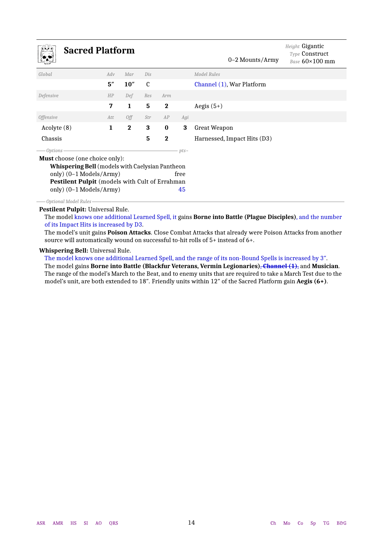<span id="page-13-1"></span>

| <b>Sacred Platform</b>                                                                                                                                                                                  |     |              |              |             |            | 0–2 Mounts/Army             | Height Gigantic<br><b>Type Construct</b><br>Base $60 \times 100$ mm |
|---------------------------------------------------------------------------------------------------------------------------------------------------------------------------------------------------------|-----|--------------|--------------|-------------|------------|-----------------------------|---------------------------------------------------------------------|
| Global                                                                                                                                                                                                  | Adv | Mar          | Dis          |             |            | Model Rules                 |                                                                     |
|                                                                                                                                                                                                         | 5'' | 10''         | $\mathbf{c}$ |             |            | Channel (1), War Platform   |                                                                     |
| Defensive                                                                                                                                                                                               | HP  | Def          | Res          | Arm         |            |                             |                                                                     |
|                                                                                                                                                                                                         | 7   | $\mathbf{1}$ | 5            | $\bf{2}$    |            | Aegis $(5+)$                |                                                                     |
| <i><b>Offensive</b></i>                                                                                                                                                                                 | Att | Off          | Str          | AP          | Agi        |                             |                                                                     |
| Acolyte (8)                                                                                                                                                                                             | 1   | $\bf{2}$     | 3            | $\bf{0}$    | 3          | Great Weapon                |                                                                     |
| Chassis                                                                                                                                                                                                 |     |              | 5            | $\mathbf 2$ |            | Harnessed, Impact Hits (D3) |                                                                     |
| Options.                                                                                                                                                                                                |     |              |              |             | $pts-$     |                             |                                                                     |
| <b>Must</b> choose (one choice only):<br><b>Whispering Bell</b> (models with Caelysian Pantheon<br>only) (0-1 Models/Army)<br>Pestilent Pulpit (models with Cult of Errahman<br>only) (0-1 Models/Army) |     |              |              |             | free<br>45 |                             |                                                                     |

*Optional Model Rules* **Pestilent Pulpit:** Universal Rule.

The model knows one additional Learned Spell, it gains **Borne into Battle (Plague Disciples)**, and the number of its Impact Hits is increased by D3.

<span id="page-13-0"></span>The model's unit gains **Poison Attacks**. Close Combat Attacks that already were Poison Attacks from another source will automatically wound on successful to-hit rolls of 5+ instead of 6+.

#### **Whispering Bell:** Universal Rule.

The model knows one additional Learned Spell, and the range of its non-Bound Spells is increased by 3″.

The model gains **Borne into Battle (Blackfur Veterans, Vermin Legionaries)**, **Channel (1)**, and **Musician**. The range of the model's March to the Beat, and to enemy units that are required to take a March Test due to the model's unit, are both extended to 18″. Friendly units within 12″ of the Sacred Platform gain **Aegis (6+)**.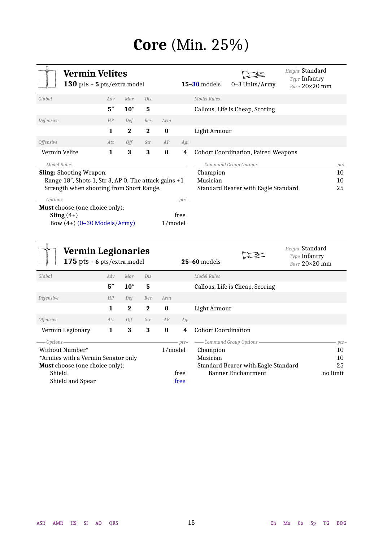# **Core** (Min. 25%)

<span id="page-14-1"></span><span id="page-14-0"></span>

| $\circ$<br><b>Vermin Velites</b><br>130 pts + 5 pts/extra model                                                                                                                                                                                           |     |              |              |          |                | $15 - 30$ models     | 0-3 Units/Army                                                   | Height Standard<br>Type Infantry<br>Base 20×20 mm |
|-----------------------------------------------------------------------------------------------------------------------------------------------------------------------------------------------------------------------------------------------------------|-----|--------------|--------------|----------|----------------|----------------------|------------------------------------------------------------------|---------------------------------------------------|
| Global                                                                                                                                                                                                                                                    | Adv | Mar          | Dis          |          |                | Model Rules          |                                                                  |                                                   |
|                                                                                                                                                                                                                                                           | 5'' | 10''         | 5            |          |                |                      | Callous, Life is Cheap, Scoring                                  |                                                   |
| Defensive                                                                                                                                                                                                                                                 | HP  | Def          | Res          | Arm      |                |                      |                                                                  |                                                   |
|                                                                                                                                                                                                                                                           | 1   | $\mathbf{2}$ | $\mathbf{2}$ | $\bf{0}$ |                | Light Armour         |                                                                  |                                                   |
| <i><b>Offensive</b></i>                                                                                                                                                                                                                                   | Att | 0ff          | Str          | AP       | Agi            |                      |                                                                  |                                                   |
| Vermin Velite                                                                                                                                                                                                                                             | 1   | 3            | 3            | $\bf{0}$ | 4              |                      | <b>Cohort Coordination, Paired Weapons</b>                       |                                                   |
| -Model Rules<br><b>Sling:</b> Shooting Weapon.<br>Range 18", Shots 1, Str 3, AP 0. The attack gains +1<br>Strength when shooting from Short Range.<br>Options<br><b>Must</b> choose (one choice only):<br>Sling $(4+)$<br>Bow $(4+)$ $(0-30$ Models/Army) |     |              |              | 1/model  | $pts-$<br>free | Champion<br>Musician | - Command Group Options -<br>Standard Bearer with Eagle Standard | $pts-$<br>10<br>10<br>25                          |

<span id="page-14-2"></span>

| <b>Vermin Legionaries</b><br>175 pts $+$ 6 pts/extra model |     |          |          |          |        | $25-60$ models                      | Height Standard<br>Type Infantry<br>Base 20×20 mm |
|------------------------------------------------------------|-----|----------|----------|----------|--------|-------------------------------------|---------------------------------------------------|
| Global                                                     | Adv | Mar      | Dis      |          |        | Model Rules                         |                                                   |
|                                                            | 5'' | 10''     | 5        |          |        | Callous, Life is Cheap, Scoring     |                                                   |
| Defensive                                                  | HP  | Def      | Res      | Arm      |        |                                     |                                                   |
|                                                            | 1   | $\bf{2}$ | $\bf{2}$ | $\bf{0}$ |        | Light Armour                        |                                                   |
| <i><b>Offensive</b></i>                                    | Att | 0ff      | Str      | AP       | Agi    |                                     |                                                   |
| Vermin Legionary                                           | 1   | 3        | 3        | $\bf{0}$ | 4      | <b>Cohort Coordination</b>          |                                                   |
| - Options –                                                |     |          |          |          | $pts-$ | - Command Group Options             | $pts-$                                            |
| Without Number*                                            |     |          |          | 1/model  |        | Champion                            | 10                                                |
| *Armies with a Vermin Senator only                         |     |          |          |          |        | Musician                            | 10                                                |
| <b>Must</b> choose (one choice only):                      |     |          |          |          |        | Standard Bearer with Eagle Standard | 25                                                |
| Shield                                                     |     |          |          |          | free   | <b>Banner Enchantment</b>           | no limit                                          |
| Shield and Spear                                           |     |          |          |          | free   |                                     |                                                   |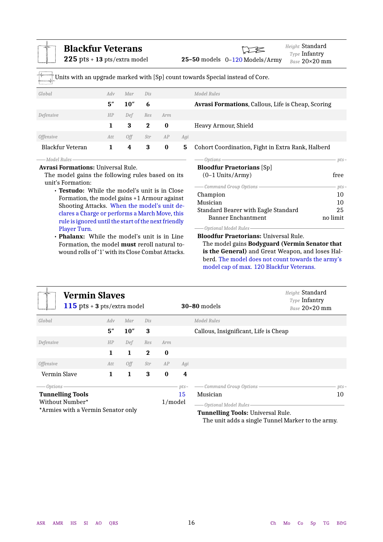<span id="page-15-1"></span>

| <b>Blackfur Veterans</b><br>225 pts + 13 pts/extra model                                                                             |              |      |          |          |                       | Height Standard<br>Type Infantry<br>25-50 models 0-120 Models/Army                                 | Base 20×20 mm |  |
|--------------------------------------------------------------------------------------------------------------------------------------|--------------|------|----------|----------|-----------------------|----------------------------------------------------------------------------------------------------|---------------|--|
|                                                                                                                                      |              |      |          |          |                       | Units with an upgrade marked with [Sp] count towards Special instead of Core.                      |               |  |
| Global                                                                                                                               | Adv          | Mar  | Dis      |          |                       | Model Rules                                                                                        |               |  |
|                                                                                                                                      | 5''          | 10'' | 6        |          |                       | Avrasi Formations, Callous, Life is Cheap, Scoring                                                 |               |  |
| Defensive                                                                                                                            | HP           | Def  | Res      | Arm      |                       |                                                                                                    |               |  |
|                                                                                                                                      | $\mathbf{1}$ | 3    | $\bf{2}$ | $\bf{0}$ |                       | Heavy Armour, Shield                                                                               |               |  |
| <b>Offensive</b>                                                                                                                     | Att          | Off  | Str      | AP       | Agi                   |                                                                                                    |               |  |
| Blackfur Veteran                                                                                                                     | $\mathbf{1}$ | 4    | $\bf{3}$ | $\bf{0}$ | 5                     | Cohort Coordination, Fight in Extra Rank, Halberd                                                  |               |  |
| — Model Rules–<br><b>Avrasi Formations: Universal Rule.</b><br>The model gains the following rules based on its<br>unit's Formation: |              |      |          |          |                       | Options-<br>$pts-$<br><b>Bloodfur Praetorians</b> [Sp]<br>$(0-1$ Units/Army)<br>free               |               |  |
| • Testudo: While the model's unit is in Close                                                                                        |              |      |          |          |                       | - Command Group Options<br>Champion                                                                | $pts-$<br>10  |  |
| Formation, the model gains +1 Armour against                                                                                         |              |      |          |          |                       | Musician                                                                                           | 10            |  |
| Shooting Attacks. When the model's unit de-                                                                                          |              |      |          |          |                       | Standard Bearer with Eagle Standard                                                                | 25            |  |
| clares a Charge or performs a March Move, this<br>rule is ignored until the start of the next friendly                               |              |      |          |          |                       | <b>Banner Enchantment</b>                                                                          | no limit      |  |
| Player Turn.                                                                                                                         |              |      |          |          | -Optional Model Rules |                                                                                                    |               |  |
| • Phalanx: While the model's unit is in Line                                                                                         |              |      |          |          |                       | <b>Bloodfur Praetorians: Universal Rule.</b>                                                       |               |  |
| Formation, the model must reroll natural to-<br>wound rolls of '1' with its Close Combat Attacks.                                    |              |      |          |          |                       | The model gains Bodyguard (Vermin Senator that<br>is the General) and Great Weapon, and loses Hal- |               |  |

<span id="page-15-2"></span>

| Vermin Slaves<br>115 pts $+$ 3 pts/extra model |     |      |              |          |        | $30-80$ models                        | Height Standard<br>Type Infantry<br>Base $20\times20$ mm |  |  |
|------------------------------------------------|-----|------|--------------|----------|--------|---------------------------------------|----------------------------------------------------------|--|--|
| Global                                         | Adv | Mar  | Dis          |          |        | Model Rules                           |                                                          |  |  |
|                                                | 5'' | 10'' | 3            |          |        | Callous, Insignificant, Life is Cheap |                                                          |  |  |
| Defensive                                      | HP  | Def  | Res          | Arm      |        |                                       |                                                          |  |  |
|                                                | 1   | 1    | $\mathbf{2}$ | $\bf{0}$ |        |                                       |                                                          |  |  |
| <i><b>Offensive</b></i>                        | Att | Off  | Str          | AP       | Agi    |                                       |                                                          |  |  |
| Vermin Slave                                   | 1   | 1    | 3            | $\bf{0}$ | 4      |                                       |                                                          |  |  |
| Options-                                       |     |      |              |          | $pts-$ | Command Group Options-                | $pts-$                                                   |  |  |
| <b>Tunnelling Tools</b>                        |     |      |              |          | 15     | Musician                              | 10                                                       |  |  |
| Without Number*<br>1/model                     |     |      |              |          |        | -Optional Model Rules                 |                                                          |  |  |
| *Armies with a Vermin Senator only             |     |      |              |          |        | Tunnelling Tools: Universal Rule      |                                                          |  |  |

<span id="page-15-0"></span>**Tunnelling Tools:** Universal Rule. The unit adds a single Tunnel Marker to the army.

berd. The model does not count towards the army's

model cap of max. 120 Blackfur Veterans.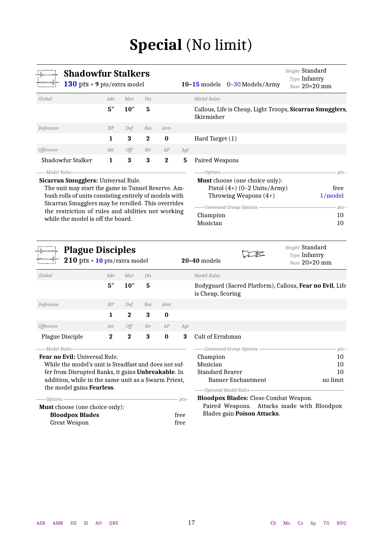# **Special** (No limit)

<span id="page-16-1"></span><span id="page-16-0"></span>

| <b>Shadowfur Stalkers</b><br>130 pts + 9 pts/extra model |     |      |          |          |                         | $10-15$ models $0-30$ Models/Army                                       | Height Standard<br><b>Type Infantry</b><br>Base 20×20 mm |
|----------------------------------------------------------|-----|------|----------|----------|-------------------------|-------------------------------------------------------------------------|----------------------------------------------------------|
| Global                                                   | Adv | Mar  | Dis      |          |                         | Model Rules                                                             |                                                          |
|                                                          | 5'' | 10'' | 5        |          |                         | Callous, Life is Cheap, Light Troops, Sicarran Smugglers,<br>Skirmisher |                                                          |
| Defensive                                                | HP  | Def  | Res      | Arm      |                         |                                                                         |                                                          |
|                                                          | 1   | 3    | $\bf{2}$ | $\bf{0}$ |                         | Hard Target (1)                                                         |                                                          |
| <i><b>Offensive</b></i>                                  | Att | 0ff  | Str      | AP       | Agi                     |                                                                         |                                                          |
| Shadowfur Stalker                                        | 1   | 3    | 3        | $\bf{2}$ | 5                       | Paired Weapons                                                          |                                                          |
| – Model Rules -                                          |     |      |          |          |                         | -Options-                                                               | $pts-$                                                   |
| Sicarran Smugglers: Universal Rule.                      |     |      |          |          |                         | <b>Must</b> choose (one choice only):                                   |                                                          |
| The unit may start the game in Tunnel Reserve. Am-       |     |      |          |          |                         | Pistol $(4+)$ $(0-2$ Units/Army)                                        | free                                                     |
| bush rolls of units consisting entirely of models with   |     |      |          |          |                         | Throwing Weapons $(4+)$                                                 | 1/model                                                  |
| Sicarran Smugglers may be rerolled. This overrides       |     |      |          |          | - Command Group Options | $pts-$                                                                  |                                                          |
| the restriction of rules and abilities not working       |     |      |          |          |                         | Champion                                                                | 10                                                       |
| while the model is off the board.                        |     |      |          |          |                         | Musician                                                                | 10                                                       |

<span id="page-16-2"></span>

|                  | <b>Plague Disciples</b><br>$210$ pts + $10$ pts/extra model |             |     |          |     | $20-40$ models    | Height Standard<br>Type Infantry<br>Base 20×20 mm                |
|------------------|-------------------------------------------------------------|-------------|-----|----------|-----|-------------------|------------------------------------------------------------------|
| Global           | Adv                                                         | Mar         | Dis |          |     | Model Rules       |                                                                  |
|                  | 5''                                                         | 10''        | 5   |          |     | is Cheap, Scoring | Bodyguard (Sacred Platform), Callous, <b>Fear no Evil</b> , Life |
| Defensive        | HP                                                          | Def         | Res | Arm      |     |                   |                                                                  |
|                  | 1                                                           | $\bf{2}$    | 3   | $\bf{0}$ |     |                   |                                                                  |
| <i>Offensive</i> | Att                                                         | 0ff         | Str | AP       | Agi |                   |                                                                  |
| Plague Disciple  | $\mathbf 2$                                                 | $\mathbf 2$ | 3   | $\bf{0}$ | 3   | Cult of Errahman  |                                                                  |

*Model Rules*

**Fear no Evil:** Universal Rule.

While the model's unit is Steadfast and does not suffer from Disrupted Ranks, it gains **Unbreakable**. In addition, while in the same unit as a Swarm Priest, the model gains **Fearless**.

| free |
|------|
| free |
|      |

| - Command Group Options - Command Group | $_{pts}$ |
|-----------------------------------------|----------|
| Champion                                | 10       |
| Musician                                | 10       |
| <b>Standard Bearer</b>                  | 10       |
| Banner Enchantment<br>no limit          |          |

*Optional Model Rules*

**Bloodpox Blades:** Close Combat Weapon.

Paired Weapons. Attacks made with Bloodpox Blades gain **Poison Attacks**.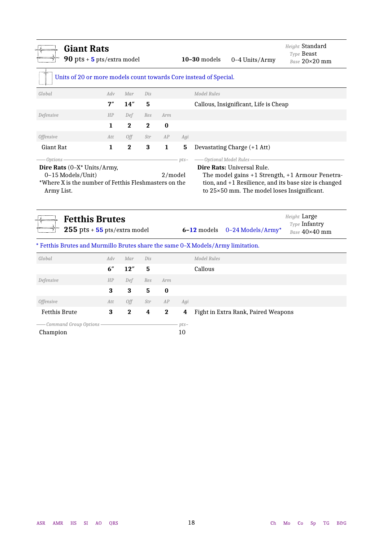<span id="page-17-1"></span><span id="page-17-0"></span>

| <b>Giant Rats</b><br>90 pts $+$ 5 pts/extra model                 |     |              |          |              |              | $10-30$ models<br>0-4 Units/Army                                                | Height Standard<br>Type Beast<br>Base 20×20 mm |
|-------------------------------------------------------------------|-----|--------------|----------|--------------|--------------|---------------------------------------------------------------------------------|------------------------------------------------|
| Units of 20 or more models count towards Core instead of Special. |     |              |          |              |              |                                                                                 |                                                |
| Global                                                            | Adv | Mar          | Dis      |              |              | <b>Model Rules</b>                                                              |                                                |
|                                                                   | 7'' | 14''         | 5        |              |              | Callous, Insignificant, Life is Cheap                                           |                                                |
| Defensive                                                         | HP  | Def          | Res      | Arm          |              |                                                                                 |                                                |
|                                                                   | 1   | $\mathbf 2$  | $\bf{2}$ | $\bf{0}$     |              |                                                                                 |                                                |
| Offensive                                                         | Att | Off          | Str      | AP           | Agi          |                                                                                 |                                                |
| Giant Rat                                                         | 1   | $\mathbf{2}$ | 3        | $\mathbf{1}$ | 5            | Devastating Charge (+1 Att)                                                     |                                                |
| $-$ Options                                                       |     |              |          |              | $pts-$       | -Optional Model Rules                                                           |                                                |
| <b>Fetthis Brutes</b><br>$255$ pts + $55$ pts/extra model         |     |              |          |              |              | $6-12$ models<br>0-24 Models/Army*                                              | Height Large<br>Type Infantry<br>Base 40×40 mm |
|                                                                   |     |              |          |              |              | * Fetthis Brutes and Murmillo Brutes share the same 0-X Models/Army limitation. |                                                |
| Global                                                            | Adv | Mar          | Dis      |              |              | <b>Model Rules</b>                                                              |                                                |
|                                                                   | 6'' | 12"          | 5        |              |              | Callous                                                                         |                                                |
| Defensive                                                         | HP  | Def          | Res      | Arm          |              |                                                                                 |                                                |
|                                                                   | 3   | 3            | 5        | $\bf{0}$     |              |                                                                                 |                                                |
| <b>Offensive</b>                                                  | Att | Off          | Str      | AP           | Agi          |                                                                                 |                                                |
| <b>Fetthis Brute</b>                                              | 3   | $\bf{2}$     | 4        | $\bf{2}$     | 4            | Fight in Extra Rank, Paired Weapons                                             |                                                |
| - Command Group Options<br>Champion                               |     |              |          |              | $pts-$<br>10 |                                                                                 |                                                |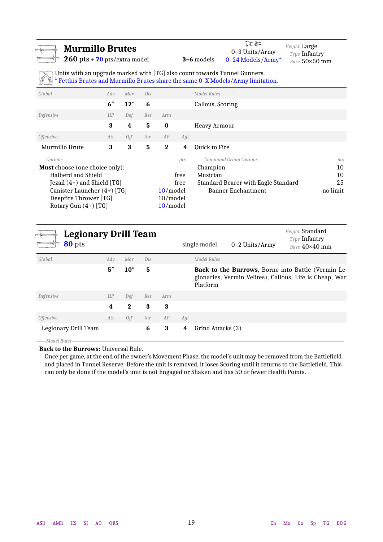<span id="page-18-1"></span>

| <b>Murmillo Brutes</b><br>$260$ pts + 70 pts/extra model |     |     |     |             |        | $\square$<br>Height Large<br>$0-3$ Units/Army<br>Type Infantry<br><b>3-6</b> models<br>0-24 Models/Army*<br>Units with an upgrade marked with [TG] also count towards Tunnel Gunners.<br>* Fetthis Brutes and Murmillo Brutes share the same 0-X Models/Army limitation. | Base 50×50 mm |
|----------------------------------------------------------|-----|-----|-----|-------------|--------|--------------------------------------------------------------------------------------------------------------------------------------------------------------------------------------------------------------------------------------------------------------------------|---------------|
| Global                                                   | Adv | Mar | Dis |             |        | <b>Model Rules</b>                                                                                                                                                                                                                                                       |               |
|                                                          | 6"  | 12" | 6   |             |        | Callous, Scoring                                                                                                                                                                                                                                                         |               |
| Defensive                                                | HP  | Def | Res | Arm         |        |                                                                                                                                                                                                                                                                          |               |
|                                                          | 3   | 4   | 5   | $\bf{0}$    |        | Heavy Armour                                                                                                                                                                                                                                                             |               |
| <i>Offensive</i>                                         | Att | Off | Str | AP          | Agi    |                                                                                                                                                                                                                                                                          |               |
| Murmillo Brute                                           | 3   | 3   | 5   | $\mathbf 2$ | 4      | Quick to Fire                                                                                                                                                                                                                                                            |               |
| Options                                                  |     |     |     |             | $pts-$ | - Command Group Options                                                                                                                                                                                                                                                  | $pts-$        |
| <b>Must</b> choose (one choice only):                    |     |     |     |             |        | Champion                                                                                                                                                                                                                                                                 | 10            |
| Halberd and Shield                                       |     |     |     |             | free   | Musician                                                                                                                                                                                                                                                                 | 10            |
| Jezail $(4+)$ and Shield [TG]                            |     |     |     |             | free   | Standard Bearer with Eagle Standard                                                                                                                                                                                                                                      | 25            |
| Canister Launcher (4+) [TG]                              |     |     |     | $10$ /model |        | <b>Banner Enchantment</b>                                                                                                                                                                                                                                                | no limit      |
| Deepfire Thrower [TG]<br>10/model                        |     |     |     |             |        |                                                                                                                                                                                                                                                                          |               |
| Rotary Gun $(4+)$ [TG]                                   |     |     |     | $10$ /model |        |                                                                                                                                                                                                                                                                          |               |

<span id="page-18-2"></span>

| <b>Legionary Drill Team</b><br>80 pts |     |          |     |     | single model           | $0-2$ Units/Army | Height Standard<br>Type Infantry<br>Base 40×40 mm                                                                     |
|---------------------------------------|-----|----------|-----|-----|------------------------|------------------|-----------------------------------------------------------------------------------------------------------------------|
| Global                                | Adv | Mar      | Dis |     | Model Rules            |                  |                                                                                                                       |
|                                       | 5'' | 10''     | 5   |     | Platform               |                  | <b>Back to the Burrows</b> , Borne into Battle (Vermin Le-<br>gionaries, Vermin Velites), Callous, Life is Cheap, War |
| Defensive                             | HP  | Def      | Res | Arm |                        |                  |                                                                                                                       |
|                                       | 4   | $\bf{2}$ | 3   | 3   |                        |                  |                                                                                                                       |
| <i>Offensive</i>                      | Att | Off      | Str | AP  | Agi                    |                  |                                                                                                                       |
| Legionary Drill Team                  |     |          | 6   | 3   | Grind Attacks (3)<br>4 |                  |                                                                                                                       |

*Model Rules*

<span id="page-18-0"></span>**Back to the Burrows:** Universal Rule.

Once per game, at the end of the owner's Movement Phase, the model's unit may be removed from the Battlefield and placed in Tunnel Reserve. Before the unit is removed, it loses Scoring until it returns to the Battlefield. This can only be done if the model's unit is not Engaged or Shaken and has 50 or fewer Health Points.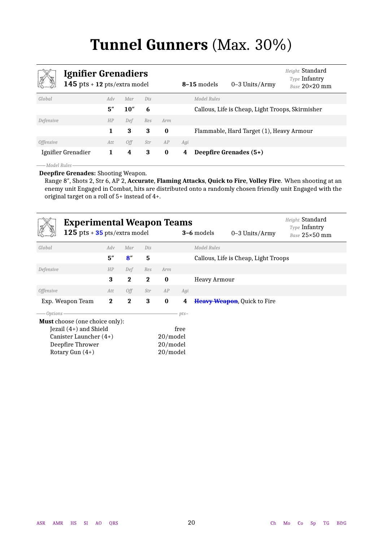# **Tunnel Gunners** (Max. 30%)

<span id="page-19-1"></span><span id="page-19-0"></span>

| <b>Ignifier Grenadiers</b><br>145 pts $+$ 12 pts/extra model |     |      |     |          |     | 8-15 models | 0-3 Units/Army                                   | Height Standard<br>Type Infantry<br>Base 20×20 mm |
|--------------------------------------------------------------|-----|------|-----|----------|-----|-------------|--------------------------------------------------|---------------------------------------------------|
| Global                                                       | Adv | Mar  | Dis |          |     | Model Rules |                                                  |                                                   |
|                                                              | 5'' | 10'' | 6   |          |     |             | Callous, Life is Cheap, Light Troops, Skirmisher |                                                   |
| Defensive                                                    | HP  | Def  | Res | Arm      |     |             |                                                  |                                                   |
|                                                              | 1   | 3    | 3   | $\bf{0}$ |     |             | Flammable, Hard Target (1), Heavy Armour         |                                                   |
| <i>Offensive</i>                                             | Att | Off  | Str | AP       | Agi |             |                                                  |                                                   |
| Ignifier Grenadier                                           | 1   | 4    | 3   | $\bf{0}$ | 4   |             | Deepfire Grenades (5+)                           |                                                   |
| — Model Rules                                                |     |      |     |          |     |             |                                                  |                                                   |

**Deepfire Grenades:** Shooting Weapon.

Range 8″, Shots 2, Str 6, AP 2, **Accurate**, **Flaming Attacks**, **Quick to Fire**, **Volley Fire**. When shooting at an enemy unit Engaged in Combat, hits are distributed onto a randomly chosen friendly unit Engaged with the original target on a roll of 5+ instead of 4+.

<span id="page-19-2"></span>

| <b>Experimental Weapon Teams</b><br>125 pts $+35$ pts/extra model |              |              |              |          |        | 3-6 models<br>$0-3$ Units/Army       | Height Standard<br><b>Type Infantry</b><br>Base 25×50 mm |
|-------------------------------------------------------------------|--------------|--------------|--------------|----------|--------|--------------------------------------|----------------------------------------------------------|
| Global                                                            | Adv          | Mar          | Dis          |          |        | Model Rules                          |                                                          |
|                                                                   | 5''          | 8''          | 5            |          |        | Callous, Life is Cheap, Light Troops |                                                          |
| Defensive                                                         | HP           | Def          | Res          | Arm      |        |                                      |                                                          |
|                                                                   | 3            | $\mathbf{2}$ | $\mathbf{2}$ | $\bf{0}$ |        | <b>Heavy Armour</b>                  |                                                          |
| <i><b>Offensive</b></i>                                           | Att          | 0ff          | Str          | AP       | Agi    |                                      |                                                          |
| Exp. Weapon Team                                                  | $\mathbf{2}$ | $\mathbf{2}$ | 3            | $\bf{0}$ | 4      | <b>Heavy Weapon, Quick to Fire</b>   |                                                          |
| Options-                                                          |              |              |              |          | $pts-$ |                                      |                                                          |
| <b>Must</b> choose (one choice only):                             |              |              |              |          |        |                                      |                                                          |
| Jezail $(4+)$ and Shield                                          |              |              |              |          | free   |                                      |                                                          |
| Canister Launcher $(4+)$                                          |              |              |              | 20/model |        |                                      |                                                          |
| Deepfire Thrower                                                  |              |              |              | 20/model |        |                                      |                                                          |
| Rotary Gun $(4+)$                                                 |              |              |              | 20/model |        |                                      |                                                          |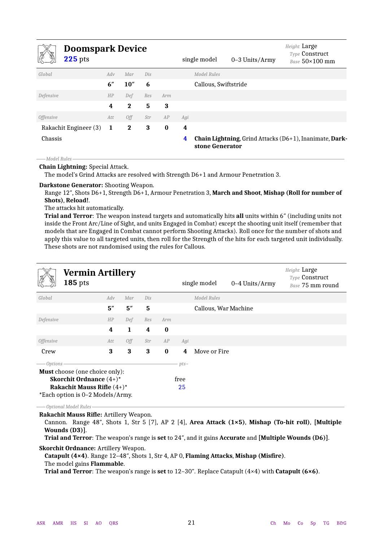<span id="page-20-1"></span>

|                         | <b>Doomspark Device</b><br><b>225</b> pts |              |             |     |          |     | single model         | $0-3$ Units/Army | Height Large<br><b>Type Construct</b><br>Base $50\times100$ mm |
|-------------------------|-------------------------------------------|--------------|-------------|-----|----------|-----|----------------------|------------------|----------------------------------------------------------------|
| Global                  |                                           | Adv          | Mar         | Dis |          |     | Model Rules          |                  |                                                                |
|                         |                                           | 6''          | 10''        | 6   |          |     | Callous, Swiftstride |                  |                                                                |
| Defensive               |                                           | HP           | Def         | Res | Arm      |     |                      |                  |                                                                |
|                         |                                           | 4            | $\bf{2}$    | 5   | 3        |     |                      |                  |                                                                |
| <i><b>Offensive</b></i> |                                           | Att          | Off         | Str | AP       | Agi |                      |                  |                                                                |
|                         | Rakachit Engineer (3)                     | <sup>1</sup> | $\mathbf 2$ | 3   | $\bf{0}$ | 4   |                      |                  |                                                                |
| Chassis                 |                                           |              |             |     |          | 4   | stone Generator      |                  | Chain Lightning, Grind Attacks (D6+1), Inanimate, Dark-        |

*Model Rules* **Chain Lightning:** Special Attack.

The model's Grind Attacks are resolved with Strength D6+1 and Armour Penetration 3.

**Darkstone Generator:** Shooting Weapon.

Range 12″, Shots D6+1, Strength D6+1, Armour Penetration 3, **March and Shoot**, **Mishap (Roll for number of Shots)**, **Reload!**.

The attacks hit automatically.

**Trial and Terror**: The weapon instead targets and automatically hits **all** units within 6″ (including units not inside the Front Arc/Line of Sight, and units Engaged in Combat) except the shooting unit itself (remember that models that are Engaged in Combat cannot perform Shooting Attacks). Roll once for the number of shots and apply this value to all targeted units, then roll for the Strength of the hits for each targeted unit individually. These shots are not randomised using the rules for Callous.

<span id="page-20-2"></span>

|                                                                                                                                                 | <b>Vermin Artillery</b><br><b>185</b> pts |     |              |                 |          |        | single model         | 0-4 Units/Army | Height Large<br>Type Construct<br>Base 75 mm round |
|-------------------------------------------------------------------------------------------------------------------------------------------------|-------------------------------------------|-----|--------------|-----------------|----------|--------|----------------------|----------------|----------------------------------------------------|
| Global                                                                                                                                          |                                           | Adv | Mar          | Dis             |          |        | Model Rules          |                |                                                    |
|                                                                                                                                                 |                                           | 5'' | 5''          | $5\phantom{.0}$ |          |        | Callous, War Machine |                |                                                    |
| Defensive                                                                                                                                       |                                           | HP  | Def          | Res             | Arm      |        |                      |                |                                                    |
|                                                                                                                                                 |                                           | 4   | $\mathbf{1}$ | 4               | $\bf{0}$ |        |                      |                |                                                    |
| <i><b>Offensive</b></i>                                                                                                                         |                                           | Att | Off          | Str             | AP       | Agi    |                      |                |                                                    |
| Crew                                                                                                                                            |                                           | 3   | 3            | 3               | $\bf{0}$ | 4      | Move or Fire         |                |                                                    |
| <i>Options</i>                                                                                                                                  |                                           |     |              |                 |          | $pts-$ |                      |                |                                                    |
| <b>Must</b> choose (one choice only):<br><b>Skorchit Ordnance</b> $(4+)$ *<br>Rakachit Mauss Rifle $(4+)^*$<br>*Each option is 0-2 Models/Army. |                                           |     | free<br>25   |                 |          |        |                      |                |                                                    |

*Optional Model Rules*

**Rakachit Mauss Rifle:** Artillery Weapon.

Cannon. Range 48″, Shots 1, Str 5 [7], AP 2 [4], **Area Attack (1×5)**, **Mishap (To-hit roll)**, **[Multiple Wounds (D3)]**.

**Trial and Terror**: The weapon's range is **set** to 24″, and it gains **Accurate** and **[Multiple Wounds (D6)]**.

**Skorchit Ordnance:** Artillery Weapon.

<span id="page-20-0"></span>**Catapult (4×4)**. Range 12–48″, Shots 1, Str 4, AP 0, **Flaming Attacks**, **Mishap (Misfire)**.

The model gains **Flammable**.

**Trial and Terror**: The weapon's range is **set** to 12–30″. Replace Catapult (4×4) with **Catapult (6×6)**.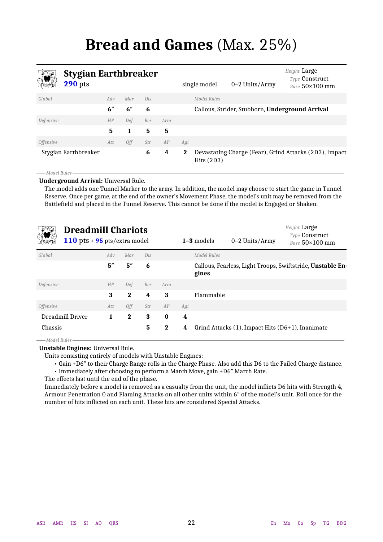# **Bread and Games** (Max. 25%)

<span id="page-21-1"></span><span id="page-21-0"></span>

# **Stygian Earthbreaker**

|                  | $\mathcal{L}_{i}$ began not the context<br>$290$ pts |     |     |     |     |          | single model | $0-2$ Units/Army                                | <b>Type Construct</b><br>Base $50\times100$ mm         |
|------------------|------------------------------------------------------|-----|-----|-----|-----|----------|--------------|-------------------------------------------------|--------------------------------------------------------|
| Global           |                                                      | Adv | Mar | Dis |     |          | Model Rules  |                                                 |                                                        |
|                  |                                                      | 6'' | 6"  | 6   |     |          |              | Callous, Strider, Stubborn, Underground Arrival |                                                        |
| Defensive        |                                                      | HP  | Def | Res | Arm |          |              |                                                 |                                                        |
|                  |                                                      | 5   | 1   | 5   | 5   |          |              |                                                 |                                                        |
| <i>Offensive</i> |                                                      | Att | Off | Str | AP  | Agi      |              |                                                 |                                                        |
|                  | Stygian Earthbreaker                                 |     |     | 6   | 4   | $\bf{2}$ | Hits (2D3)   |                                                 | Devastating Charge (Fear), Grind Attacks (2D3), Impact |

*Model Rules*

**Underground Arrival:** Universal Rule.

The model adds one Tunnel Marker to the army. In addition, the model may choose to start the game in Tunnel Reserve. Once per game, at the end of the owner's Movement Phase, the model's unit may be removed from the Battlefield and placed in the Tunnel Reserve. This cannot be done if the model is Engaged or Shaken.

<span id="page-21-2"></span>

| <b>Dreadmill Chariots</b><br>110 pts $+$ 95 pts/extra model |     |          |     |             |     | $1-3$ models<br>$0-2$ Units/Army                                    | Height Large<br><b>Type Construct</b><br>Base $50\times100$ mm |
|-------------------------------------------------------------|-----|----------|-----|-------------|-----|---------------------------------------------------------------------|----------------------------------------------------------------|
| Global                                                      | Adv | Mar      | Dis |             |     | Model Rules                                                         |                                                                |
|                                                             | 5'' | 5''      | 6   |             |     | Callous, Fearless, Light Troops, Swiftstride, Unstable En-<br>gines |                                                                |
| Defensive                                                   | HP  | Def      | Res | Arm         |     |                                                                     |                                                                |
|                                                             | 3   | $\bf{2}$ | 4   | 3           |     | Flammable                                                           |                                                                |
| <i><b>Offensive</b></i>                                     | Att | Off      | Str | AP          | Agi |                                                                     |                                                                |
| Dreadmill Driver                                            | 1   | $\bf{2}$ | 3   | $\bf{0}$    | 4   |                                                                     |                                                                |
| Chassis                                                     |     |          | 5   | $\mathbf 2$ | 4   | Grind Attacks $(1)$ , Impact Hits $(D6+1)$ , Inanimate              |                                                                |
| ——Model Rules-                                              |     |          |     |             |     |                                                                     |                                                                |

**Unstable Engines:** Universal Rule.

Units consisting entirely of models with Unstable Engines:

• Gain +D6″ to their Charge Range rolls in the Charge Phase. Also add this D6 to the Failed Charge distance.

• Immediately after choosing to perform a March Move, gain +D6″ March Rate.

The effects last until the end of the phase.

Immediately before a model is removed as a casualty from the unit, the model inflicts D6 hits with Strength 4, Armour Penetration 0 and Flaming Attacks on all other units within 6″ of the model's unit. Roll once for the number of hits inflicted on each unit. These hits are considered Special Attacks.

*Height* Large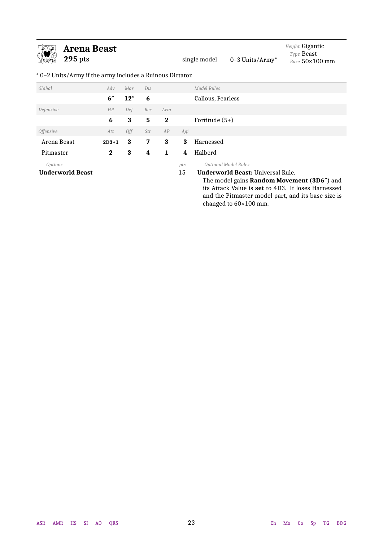<span id="page-22-0"></span>

| <b>Arena Beast</b><br><b>295</b> pts                      |          |     |     |          |        | single model       | 0-3 Units/Army*                          | Height Gigantic<br>Type Beast<br>Base 50×100 mm                                                                |
|-----------------------------------------------------------|----------|-----|-----|----------|--------|--------------------|------------------------------------------|----------------------------------------------------------------------------------------------------------------|
| * 0–2 Units/Army if the army includes a Ruinous Dictator. |          |     |     |          |        |                    |                                          |                                                                                                                |
| Global                                                    | Adv      | Mar | Dis |          |        | <b>Model Rules</b> |                                          |                                                                                                                |
|                                                           | 6"       | 12" | 6   |          |        | Callous, Fearless  |                                          |                                                                                                                |
| Defensive                                                 | HP       | Def | Res | Arm      |        |                    |                                          |                                                                                                                |
|                                                           | 6        | 3   | 5   | $\bf{2}$ |        | Fortitude $(5+)$   |                                          |                                                                                                                |
| <i><b>Offensive</b></i>                                   | Att      | 0ff | Str | AP       | Agi    |                    |                                          |                                                                                                                |
| Arena Beast                                               | $2D3+1$  | 3   | 7   | 3        | 3      | Harnessed          |                                          |                                                                                                                |
| Pitmaster                                                 | $\bf{2}$ | 3   | 4   | 1        | 4      | Halberd            |                                          |                                                                                                                |
| <i>Options</i>                                            |          |     |     |          | $pts-$ |                    | Optional Model Rules                     |                                                                                                                |
| <b>Underworld Beast</b>                                   |          |     |     |          | 15     |                    | <b>Underworld Beast: Universal Rule.</b> | The model gains <b>Random Movement (3D6")</b> and<br>its Attack Value is <b>set</b> to 4D3. It loses Harnessed |

and the Pitmaster model part, and its base size is

changed to 60×100 mm.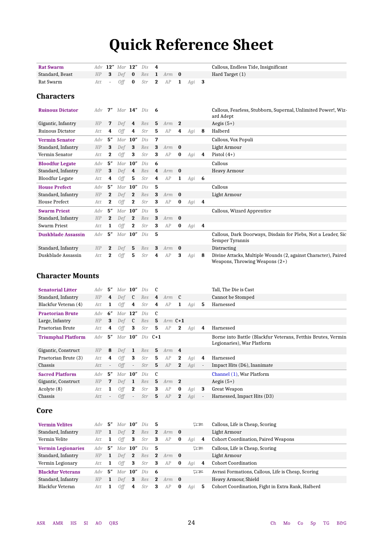# **Quick Reference Sheet**

<span id="page-23-0"></span>

| <b>Rat Swarm</b>          | Adv |             | 12" Mar 12" |                | Dis | 4            |     |              |     |                         | Callous, Endless Tide, Insignificant                                                               |
|---------------------------|-----|-------------|-------------|----------------|-----|--------------|-----|--------------|-----|-------------------------|----------------------------------------------------------------------------------------------------|
| Standard, Beast           | HP  | 3           | Def         | $\bf{0}$       | Res | $\mathbf{1}$ | Arm | $\bf{0}$     |     |                         | Hard Target (1)                                                                                    |
| Rat Swarm                 | Att |             | <b>Off</b>  | $\bf{0}$       | Str | $\mathbf 2$  | AP  | 1            | Agi | -3                      |                                                                                                    |
| <b>Characters</b>         |     |             |             |                |     |              |     |              |     |                         |                                                                                                    |
| <b>Ruinous Dictator</b>   | Adv | 7″          |             | Mar $14''$ Dis |     | 6            |     |              |     |                         | Callous, Fearless, Stubborn, Supernal, Unlimited Power!, Wiz-<br>ard Adept                         |
| Gigantic, Infantry        | HP  | 7           | Def         | 4              | Res | 5            | Arm | $\mathbf{2}$ |     |                         | Aegis $(5+)$                                                                                       |
| <b>Ruinous Dictator</b>   | Att | 4           | 0ff         | 4              | Str | 5.           | AP  | 4            | Agi | 8                       | Halberd                                                                                            |
| <b>Vermin Senator</b>     | Adv | 5''         | Mar         | 10''           | Dis | 7            |     |              |     |                         | Callous, Vox Populi                                                                                |
| Standard, Infantry        | HP  | 3           | Def         | 3              | Res | 3            | Arm | $\bf{0}$     |     |                         | Light Armour                                                                                       |
| Vermin Senator            | Att | $\mathbf 2$ | <b>Off</b>  | 3              | Str | 3            | AP  | $\bf{0}$     | Agi | 4                       | Pistol $(4+)$                                                                                      |
| <b>Bloodfur Legate</b>    | Adv | 5''         |             | $Mar$ 10"      | Dis | 6            |     |              |     |                         | Callous                                                                                            |
| Standard, Infantry        | HP  | 3           | Def         | 4              | Res | 4            | Arm | $\bf{0}$     |     |                         | <b>Heavy Armour</b>                                                                                |
| <b>Bloodfur Legate</b>    | Att | 4           | <b>Off</b>  | 5              | Str | 4            | AP  | 1            | Agi | - 6                     |                                                                                                    |
| <b>House Prefect</b>      | Adv | 5''         | Mar         | 10''           | Dis | 5            |     |              |     |                         | Callous                                                                                            |
| Standard, Infantry        | HP  | $\bf{2}$    | Def         | $\mathbf 2$    | Res | 3            | Arm | $\bf{0}$     |     |                         | Light Armour                                                                                       |
| <b>House Prefect</b>      | Att | 2           | 0ff         | 2              | Str | 3            | AP  | $\bf{0}$     | Agi | $\overline{\mathbf{4}}$ |                                                                                                    |
| <b>Swarm Priest</b>       | Adv | 5''         |             | $Mar$ 10"      | Dis | 5            |     |              |     |                         | Callous, Wizard Apprentice                                                                         |
| Standard, Infantry        | HP  | $\bf{2}$    | Def         | $\mathbf{2}$   | Res | 3            | Arm | $\bf{0}$     |     |                         |                                                                                                    |
| <b>Swarm Priest</b>       | Att | 1           | Off         | $\mathbf 2$    | Str | 3            | AP  | $\bf{0}$     | Agi | 4                       |                                                                                                    |
| <b>Duskblade Assassin</b> | Adv | 5''         |             | $Mar$ 10"      | Dis | 5            |     |              |     |                         | Callous, Dark Doorways, Disdain for Plebs, Not a Leader, Sic<br>Semper Tyrannis                    |
| Standard, Infantry        | HP  | $\bf{2}$    | Def         | 5              | Res | 3            | Arm | $\bf{0}$     |     |                         | Distracting                                                                                        |
| Duskblade Assassin        | Att | 2           | <b>Off</b>  | 5              | Str | 4            | AP  | 3            | Agi | 8                       | Divine Attacks, Multiple Wounds (2, against Character), Paired<br>Weapons, Throwing Weapons $(2+)$ |

### **Character Mounts**

| Adv | 5''                      |     |                          | Dis                                                    |              |    |              |                                                 |                          | Tall, The Die is Cast                                                                      |
|-----|--------------------------|-----|--------------------------|--------------------------------------------------------|--------------|----|--------------|-------------------------------------------------|--------------------------|--------------------------------------------------------------------------------------------|
| HP  | 4                        |     |                          | Res                                                    | 4            |    |              |                                                 |                          | Cannot be Stomped                                                                          |
| Att | 1                        | 0ff | 4                        | Str                                                    | 4            | AP | 1            | Agi                                             | 5.                       | Harnessed                                                                                  |
| Adv | 6''                      |     |                          | Dis                                                    | - C          |    |              |                                                 |                          |                                                                                            |
| HP  | 3                        | Def | $\mathbf{c}$             | Res                                                    | 5            |    |              |                                                 |                          |                                                                                            |
| Att | 4                        | Off | 3                        | Str                                                    | 5            | AP | $\mathbf 2$  | Agi                                             | 4                        | Harnessed                                                                                  |
| Adv | 5″                       |     |                          |                                                        |              |    |              |                                                 |                          | Borne into Battle (Blackfur Veterans, Fetthis Brutes, Vermin<br>Legionaries), War Platform |
| HP  | 8                        | Def | $\mathbf{1}$             | Res                                                    | 5            |    |              |                                                 |                          |                                                                                            |
| Att | 4                        | Off | 3                        | Str                                                    | 5            | AP | $\mathbf 2$  | Agi                                             | 4                        | Harnessed                                                                                  |
| Att | $\overline{\phantom{a}}$ | 0ff | $\overline{\phantom{a}}$ | Str                                                    | 5            | AP | $\mathbf{2}$ | Agi                                             | $\overline{\phantom{a}}$ | Impact Hits (D6), Inanimate                                                                |
| Adv | 5''                      |     |                          | Dis                                                    | $\mathsf{C}$ |    |              |                                                 |                          | Channel (1), War Platform                                                                  |
| HP  | 7                        | Def | -1                       | Res                                                    | 5            |    |              |                                                 |                          | Aegis $(5+)$                                                                               |
| Att | 1                        | 0ff | $\mathbf 2$              | Str                                                    | 3            | AP | $\bf{0}$     | Agi                                             | 3                        | Great Weapon                                                                               |
| Att |                          | 0ff | $\overline{\phantom{a}}$ | Str                                                    | 5            | AP | $\bf{2}$     | Agi                                             | $\overline{\phantom{a}}$ | Harnessed, Impact Hits (D3)                                                                |
|     |                          |     |                          | Mar $10''$<br>$Def$ <b>C</b><br>Mar $12"$<br>$Mar$ 10" | $Mar$ 10"    |    | Dis $C+1$    | Arm <b>C</b><br>Arm $C+1$<br>$Arm$ 4<br>$Arm$ 2 |                          |                                                                                            |

### **Core**

| <b>Vermin Velites</b>     | Adv       | 5″  | Mar $10''$      |              | $Dis$ 5 |                         |             |          | 75         | Callous, Life is Cheap, Scoring                        |
|---------------------------|-----------|-----|-----------------|--------------|---------|-------------------------|-------------|----------|------------|--------------------------------------------------------|
| Standard, Infantry        | <b>HP</b> | 1   | Def             | $\mathbf{2}$ | Res     |                         | $2$ Arm $0$ |          |            | Light Armour                                           |
| Vermin Velite             | Att       |     | Off             | 3            | Str     | -3                      | AP          | $\bf{0}$ | Agi        | Cohort Coordination, Paired Weapons<br>4               |
| <b>Vermin Legionaries</b> | Adv       | .5″ | Mar $10''$      |              | Dis     | - 5                     |             |          | $\square$  | Callous, Life is Cheap, Scoring                        |
| Standard, Infantry        | <b>HP</b> | 1   | Def             | $\mathbf{2}$ | Res     | $\overline{\mathbf{2}}$ | $Arm$ 0     |          |            | Light Armour                                           |
| Vermin Legionary          | Att.      | -1  | Off <sup></sup> | -3           | Str     | - 3                     | AP          | $\bf{0}$ | Aai        | <b>Cohort Coordination</b><br>4                        |
| <b>Blackfur Veterans</b>  | Adv       | 5″  | Mar $10''$      |              | Dis     | - 6                     |             |          | $\nabla z$ | Avrasi Formations, Callous, Life is Cheap, Scoring     |
| Standard, Infantry        | <b>HP</b> | 1   | Def             | - 3          | Res     | $\overline{2}$          | $Arm$ 0     |          |            | Heavy Armour, Shield                                   |
| Blackfur Veteran          | Att       |     | 0ff             | 4            | Str     | 3                       | AP          | $\bf{0}$ | Agi        | Cohort Coordination, Fight in Extra Rank, Halberd<br>5 |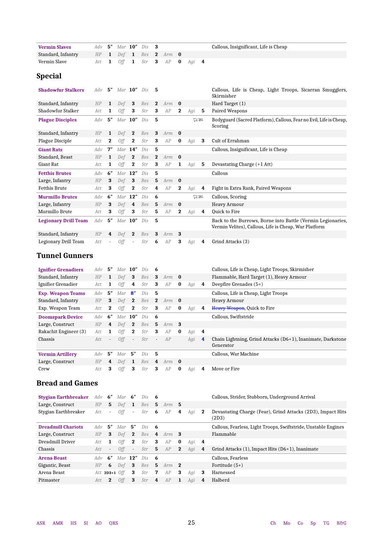| <b>Vermin Slaves</b> |  |  | $Adv$ 5" Mar $10"$ Dis $3$ |                                |  | Callous, Insignificant, Life is Cheap |
|----------------------|--|--|----------------------------|--------------------------------|--|---------------------------------------|
| Standard, Infantry   |  |  |                            | HP $1$ Def $1$ Res $2$ Arm $0$ |  |                                       |
| Vermin Slave         |  |  |                            | Att 1 Off 1 Str 3 AP 0 Agi 4   |  |                                       |

### **Special**

| <b>Shadowfur Stalkers</b>   | Adv | 5''      |           | Mar $10''$   | Dis | 5            |         |              |     |    | Callous, Life is Cheap, Light Troops, Sicarran Smugglers,<br>Skirmisher                                              |
|-----------------------------|-----|----------|-----------|--------------|-----|--------------|---------|--------------|-----|----|----------------------------------------------------------------------------------------------------------------------|
| Standard, Infantry          | HP  | 1        | Def       | 3            | Res | $\mathbf{2}$ | Arm     | $\bf{0}$     |     |    | Hard Target (1)                                                                                                      |
| Shadowfur Stalker           | Att | 1        | 0ff       | 3            | Str | 3            | AP      | $\bf{2}$     | Agi | 5  | Paired Weapons                                                                                                       |
| <b>Plague Disciples</b>     | Adv | 5''      |           | $Mar$ 10"    | Dis | 5            |         |              |     | 75 | Bodyguard (Sacred Platform), Callous, Fear no Evil, Life is Cheap,<br>Scoring                                        |
| Standard, Infantry          | HP  | 1        | Def       | $\mathbf{2}$ | Res | 3            | $Arm$ 0 |              |     |    |                                                                                                                      |
| Plague Disciple             | Att | $\bf{2}$ | 0ff       | $\mathbf{2}$ | Str | 3            | AP      | $\bf{0}$     | Agi | 3  | Cult of Errahman                                                                                                     |
| <b>Giant Rats</b>           | Adv | 7"       |           | $Mar$ 14"    | Dis | 5            |         |              |     |    | Callous, Insignificant, Life is Cheap                                                                                |
| Standard, Beast             | HP  | 1        | Def       | $\mathbf{2}$ | Res | $\mathbf{2}$ | Arm     | $\mathbf{0}$ |     |    |                                                                                                                      |
| Giant Rat                   | Att | 1        | Off       | $\bf{2}$     | Str | 3            | AP      | 1            | Agi | 5  | Devastating Charge (+1 Att)                                                                                          |
| <b>Fetthis Brutes</b>       | Adv | 6''      | Mar       | 12''         | Dis | 5            |         |              |     |    | Callous                                                                                                              |
| Large, Infantry             | HP  | 3        | Def       | 3            | Res | 5            | Arm     | $\bf{0}$     |     |    |                                                                                                                      |
| <b>Fetthis Brute</b>        | Att | 3        | 0ff       | $\bf{2}$     | Str | 4            | AP      | $\bf{2}$     | Agi | 4  | Fight in Extra Rank, Paired Weapons                                                                                  |
| <b>Murmillo Brutes</b>      | Adv | 6"       |           | $Mar$ 12"    | Dis | 6            |         |              |     | 75 | Callous, Scoring                                                                                                     |
| Large, Infantry             | HP  | 3        | Def       | 4            | Res | 5            | Arm     | - 0          |     |    | Heavy Armour                                                                                                         |
| Murmillo Brute              | Att | 3        | Off       | 3            | Str | 5            | AP      | 2            | Agi | 4  | Quick to Fire                                                                                                        |
| <b>Legionary Drill Team</b> | Adv | 5''      | $Mar$ 10" |              | Dis | 5            |         |              |     |    | Back to the Burrows, Borne into Battle (Vermin Legionaries,<br>Vermin Velites), Callous, Life is Cheap, War Platform |
| Standard, Infantry          | HP  | 4        | Def       | $\mathbf{2}$ | Res | 3            | Arm     | 3            |     |    |                                                                                                                      |
| Legionary Drill Team        | Att |          | 0ff       |              | Str | 6            | AP      | 3            | Agi | 4  | Grind Attacks (3)                                                                                                    |

### **Tunnel Gunners**

| <b>Ignifier Grenadiers</b> | Adv  | 5″             | Mar $10''$ |                          | Dis | -6           |                  |          |     |                         | Callous, Life is Cheap, Light Troops, Skirmisher                         |
|----------------------------|------|----------------|------------|--------------------------|-----|--------------|------------------|----------|-----|-------------------------|--------------------------------------------------------------------------|
| Standard, Infantry         | HP   | $\mathbf{1}$   | Def        | -3                       | Res | 3            | Arm $\mathbf{0}$ |          |     |                         | Flammable, Hard Target (1), Heavy Armour                                 |
| Ignifier Grenadier         | Att  | 1              | 0ff        | 4                        | Str | 3            | AP               | $\bf{0}$ | Agi | 4                       | Deepfire Grenades $(5+)$                                                 |
| <b>Exp. Weapon Teams</b>   | Adv  | 5''            | Mar        | . ጸ"                     | Dis | -5           |                  |          |     |                         | Callous, Life is Cheap, Light Troops                                     |
| Standard, Infantry         | HP   | 3              | Def        | $\mathbf{2}$             | Res | $\mathbf{2}$ | Arm $\mathbf{0}$ |          |     |                         | Heavy Armour                                                             |
| Exp. Weapon Team           | Att  | $\mathbf{2}$   | 0ff        | $\mathbf{2}$             | Str | 3            | AP               | $\bf{0}$ | Agi | 4                       | Heavy Weapon, Quick to Fire                                              |
| <b>Doomspark Device</b>    | Adv  | 6''            | $Mar$ 10"  |                          | Dis | $-6$         |                  |          |     |                         | Callous, Swiftstride                                                     |
| Large, Construct           | HP   | 4              | Def        | $\mathbf{2}$             | Res | 5            | Arm              | -3       |     |                         |                                                                          |
| Rakachit Engineer (3)      | Att. | 1              | Off        | $\bf{2}$                 | Str | 3            | AP               | $\bf{0}$ | Agi | $\overline{\mathbf{4}}$ |                                                                          |
| Chassis                    | Att  | $\blacksquare$ | <b>Off</b> | $\overline{\phantom{a}}$ | Str | $\sim$       | AP               |          | Agi | $\overline{\mathbf{4}}$ | Chain Lightning, Grind Attacks (D6+1), Inanimate, Darkstone<br>Generator |
| <b>Vermin Artillery</b>    | Adv  | 5″             | Mar        | 5″                       | Dis | -5           |                  |          |     |                         | Callous, War Machine                                                     |
| Large, Construct           | HP   | 4              | Def        | $\mathbf{1}$             | Res | 4            | $Arm$ 0          |          |     |                         |                                                                          |
| Crew                       | Att  | 3              | <b>Off</b> | 3                        | Str | 3            | AP               | $\bf{0}$ | Agi | 4                       | Move or Fire                                                             |

### **Bread and Games**

| <b>Stygian Earthbreaker</b> | Adv $6"$ |                          | Mar $6"$        |                | Dis | - 6  |         |              |     |                         | Callous, Strider, Stubborn, Underground Arrival                      |
|-----------------------------|----------|--------------------------|-----------------|----------------|-----|------|---------|--------------|-----|-------------------------|----------------------------------------------------------------------|
| Large, Construct            | HP       | 5.                       | Def             | $\mathbf{1}$   | Res | 5    | $Arm$ 5 |              |     |                         |                                                                      |
| Stygian Earthbreaker        | Att      | $\overline{\phantom{a}}$ | 0ff             | $\sim$         | Str | 6    | AP      | 4            | Agi | 2                       | Devastating Charge (Fear), Grind Attacks (2D3), Impact Hits<br>(2D3) |
| <b>Dreadmill Chariots</b>   | Adv      | 5″                       | Mar $5''$       |                | Dis | - 6  |         |              |     |                         | Callous, Fearless, Light Troops, Swiftstride, Unstable Engines       |
| Large, Construct            | HP       | 3                        | Def             | $\overline{2}$ | Res | 4    | $Arm$ 3 |              |     |                         | Flammable                                                            |
| Dreadmill Driver            | Att      | 1                        | 0ff             | $\mathbf 2$    | Str | -3   | AP      | $\bf{0}$     | Agi | 4                       |                                                                      |
| Chassis                     | Att      | $\overline{\phantom{a}}$ | 0ff             | $\sim$         | Str | 5    | AP      | $\mathbf{2}$ | Aai | $\overline{\mathbf{4}}$ | Grind Attacks $(1)$ , Impact Hits $(D6+1)$ , Inanimate               |
| <b>Arena Beast</b>          | Adv      | 6″                       | Mar $12"$       |                | Dis | - 6  |         |              |     |                         | Callous, Fearless                                                    |
| Gigantic, Beast             | HP       | 6                        | Def             | - 3            | Res | $-5$ | $Arm$ 2 |              |     |                         | Fortitude $(5+)$                                                     |
| Arena Beast                 |          |                          | Att $2D3+1$ Off | 3              | Str | 7    | AP      | 3            | Agi | 3                       | Harnessed                                                            |
| Pitmaster                   | Att.     | $\mathbf{2}$             | 0ff             | 3              | Str | 4    | AP      | 1            | Aai | 4                       | Halberd                                                              |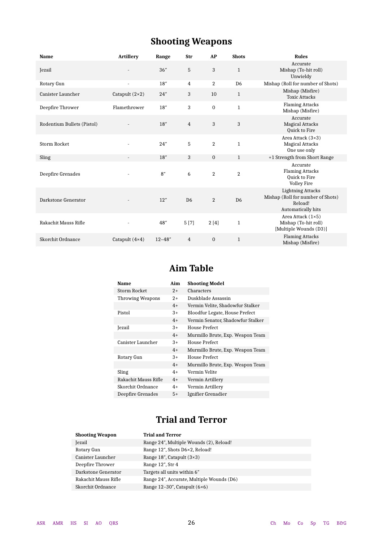# **Shooting Weapons**

| <b>Name</b>                | <b>Artillery</b>      | Range       | Str            | AP             | <b>Shots</b>   | <b>Rules</b>                                                                                   |
|----------------------------|-----------------------|-------------|----------------|----------------|----------------|------------------------------------------------------------------------------------------------|
| Jezail                     |                       | 36"         | 5              | 3              | $\mathbf{1}$   | Accurate<br>Mishap (To-hit roll)<br>Unwieldy                                                   |
| Rotary Gun                 |                       | 18''        | $\overline{4}$ | $\overline{2}$ | D <sub>6</sub> | Mishap (Roll for number of Shots)                                                              |
| Canister Launcher          | Catapult $(2\times2)$ | 24"         | 3              | 10             | $\mathbf{1}$   | Mishap (Misfire)<br><b>Toxic Attacks</b>                                                       |
| Deepfire Thrower           | Flamethrower          | 18''        | 3              | $\mathbf{0}$   | $\mathbf{1}$   | <b>Flaming Attacks</b><br>Mishap (Misfire)                                                     |
| Rodentium Bullets (Pistol) |                       | 18''        | $\overline{4}$ | 3              | 3              | Accurate<br><b>Magical Attacks</b><br>Quick to Fire                                            |
| <b>Storm Rocket</b>        |                       | 24"         | 5              | $\overline{2}$ | $\mathbf 1$    | Area Attack $(3\times3)$<br><b>Magical Attacks</b><br>One use only                             |
| Sling                      |                       | 18''        | 3              | $\mathbf{0}$   | $\mathbf{1}$   | +1 Strength from Short Range                                                                   |
| Deepfire Grenades          |                       | 8''         | 6              | $\overline{2}$ | $\overline{2}$ | Accurate<br><b>Flaming Attacks</b><br>Quick to Fire<br>Volley Fire                             |
| Darkstone Generator        |                       | 12"         | D <sub>6</sub> | $\overline{2}$ | D <sub>6</sub> | <b>Lightning Attacks</b><br>Mishap (Roll for number of Shots)<br>Reload!<br>Automatically hits |
| Rakachit Mauss Rifle       |                       | 48"         | 5[7]           | 2[4]           | $\mathbf{1}$   | Area Attack $(1\times5)$<br>Mishap (To-hit roll)<br>[Multiple Wounds (D3)]                     |
| Skorchit Ordnance          | Catapult $(4\times4)$ | $12 - 48''$ | $\overline{4}$ | $\mathbf{0}$   | $\mathbf{1}$   | <b>Flaming Attacks</b><br>Mishap (Misfire)                                                     |

## **Aim Table**

| Name                     | Aim  | <b>Shooting Model</b>             |
|--------------------------|------|-----------------------------------|
| Storm Rocket             | $2+$ | Characters                        |
| <b>Throwing Weapons</b>  | $2+$ | Duskblade Assassin                |
|                          | $4+$ | Vermin Velite, Shadowfur Stalker  |
| Pistol                   | $3+$ | Bloodfur Legate, House Prefect    |
|                          | $4+$ | Vermin Senator, Shadowfur Stalker |
| Jezail                   | $3+$ | House Prefect                     |
|                          | $4+$ | Murmillo Brute, Exp. Weapon Team  |
| <b>Canister Launcher</b> | $3+$ | House Prefect                     |
|                          | $4+$ | Murmillo Brute, Exp. Weapon Team  |
| Rotary Gun               | $3+$ | House Prefect                     |
|                          | $4+$ | Murmillo Brute, Exp. Weapon Team  |
| Sling                    | $4+$ | Vermin Velite                     |
| Rakachit Mauss Rifle     | $4+$ | Vermin Artillery                  |
| Skorchit Ordnance        | $4+$ | Vermin Artillery                  |
| Deepfire Grenades        | $5+$ | Ignifier Grenadier                |

### **Trial and Terror**

| <b>Shooting Weapon</b> | <b>Trial and Terror</b>                   |
|------------------------|-------------------------------------------|
| <b>Jezail</b>          | Range 24", Multiple Wounds (2), Reload!   |
| Rotary Gun             | Range 12", Shots D6×2, Reload!            |
| Canister Launcher      | Range $18$ ", Catapult $(3\times3)$       |
| Deepfire Thrower       | Range 12", Str 4                          |
| Darkstone Generator    | Targets all units within 6"               |
| Rakachit Mauss Rifle   | Range 24", Accurate, Multiple Wounds (D6) |
| Skorchit Ordnance      | Range $12-30$ ", Catapult $(6\times6)$    |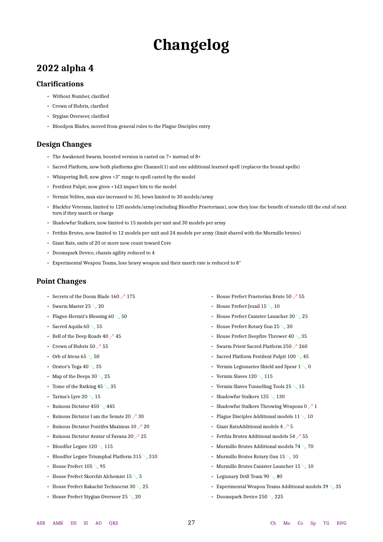# **Changelog**

### <span id="page-26-0"></span>**2022 alpha 4**

### **Clarifications**

- Without Number, clarified
- Crown of Hubris, clarified
- Stygian Overseer, clarified
- Bloodpox Blades, moved from general rules to the Plague Disciples entry

### **Design Changes**

- The Awakened Swarm, boosted version is casted on 7+ instead of 8+
- Sacred Platform, now both platforms give Channel(1) and one additional learned spell (replaces the bound spells)
- Whispering Bell, now gives +3″ range to spell casted by the model
- Pestilent Pulpit, now gives +1d3 impact hits to the model
- Vermin Velites, max size increased to 30, bows limited to 30 models/army
- Blackfur Veterans, limited to 120 models/army(excluding Bloodfur Praetorians), now they lose the benefit of testudo till the end of next turn if they march or charge
- Shadowfur Stalkers, now limited to 15 models per unit and 30 models per army
- Fetthis Brutes, now limited to 12 models per unit and 24 models per army (limit shared with the Murmillo brutes)
- Giant Rats, units of 20 or more now count toward Core
- Doomspark Device, chassis agility reduced to 4
- Experimental Weapon Teams, lose heavy weapon and their march rate is reduced to 8″

### **Point Changes**

- Secrets of the Doom Blade 160  $\nearrow$  175
- Swarm Master 25  $\searrow$  20
- Plague-Hermit's Blessing 60 ↘ 50
- Sacred Aquila 60  $\searrow$  55
- Bell of the Deep Roads 40  $\nearrow$  45
- Crown of Hubris 50  $\nearrow$  55
- Orb of Ateus 65  $\searrow$  50
- Orator's Toga 40  $\searrow$  35
- Map of the Deeps 30  $\searrow$  25
- Tome of the Ratking  $45 \searrow 35$
- Tarina's Lyre 20  $\searrow$  15
- Ruinous Dictator 450 ↘ 445
- Ruinous Dictator I am the Senate 20  $\nearrow$  30
- Ruinous Dictator Pontifex Maximus  $10 \nearrow 20$
- Ruinous Dictator Avatar of Favana 20  $\nearrow$  25
- Bloodfur Legate 120 \115
- Bloodfur Legate Triumphal Platform 315  $\backslash$  310
- House Prefect 105 \ 95
- House Prefect Skorchit Alchemist 15 ↘ 5
- House Prefect Rakachit Technocrat 30  $\searrow$  25
- House Prefect Stygian Overseer 25  $\searrow$  20
- House Prefect Praetorian Brute 50  $\nearrow$  55
- House Prefect Jezail 15  $\searrow$  10
- House Prefect Canister Launcher 30 ↘ 25
- House Prefect Rotary Gun 25 ↘ 20
- House Prefect Deepfire Thrower 40  $\searrow$  35
- Swarm Priest Sacred Platform 250 ↗ 260
- Sacred Platform Pestilent Pulpit 100 ↘ 45
- Vermin Legionaries Shield and Spear  $1 \searrow 0$
- Vermin Slaves 120 \times 115
- Vermin Slaves Tunnelling Tools 25 ↘ 15
- Shadowfur Stalkers 135 ↘ 130
- Shadowfur Stalkers Throwing Weapons  $0 \nearrow 1$
- Plague Disciples Additional models  $11 \searrow 10$
- Giant RatsAdditional models  $4 \nearrow 5$
- Fetthis Brutes Additional models 54  $\nearrow$  55
- Murmillo Brutes Additional models  $74 \searrow 70$
- Murmillo Brutes Rotary Gun 15 \10
- Murmillo Brutes Canister Launcher 15  $\searrow$  10
- Legionary Drill Team 90  $\searrow$  80
- Experimental Weapon Teams Additional models 39  $\searrow$  35
- Doomspark Device 250  $\searrow$  225